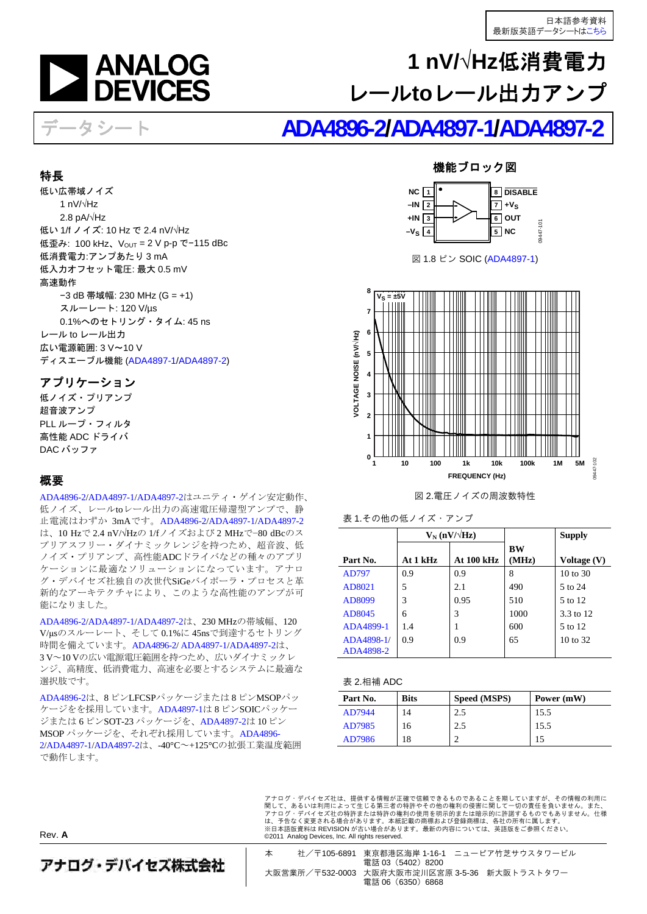

# **1 nV/√Hz**低消費電力 レール**to**レール出力アンプ

# データシート **[ADA4896-2](http://www.analog.com/jp/ADA4896-2)[/ADA4897-1/](http://www.analog.com/jp/ADA4897-1)[ADA4897-2](http://www.analog.com/jp/ADA4897-2)**

### <span id="page-0-3"></span><span id="page-0-0"></span>特長

低い広帯域ノイズ 1 nV/√Hz 2.8 pA/√Hz 低い 1/f ノイズ: 10 Hz で 2.4 nV/√Hz 低歪み: 100 kHz、V<sub>OUT</sub> = 2 V p-p で−115 dBc 低消費電力:アンプあたり 3 mA 低入力オフセット電圧: 最大 0.5 mV 高速動作 −3 dB 帯域幅: 230 MHz (G = +1) スルーレート: 120 V/µs 0.1%へのセトリング・タイム: 45 ns レール to レール出力 広い電源範囲: 3 V~10 V ディスエーブル機能 [\(ADA4897-1](http://www.analog.com/jp/ADA4897-1)/[ADA4897-2\)](http://www.analog.com/jp/ADA4897-2)

## <span id="page-0-1"></span>アプリケーション

低ノイズ・プリアンプ 超音波アンプ PLL ループ・フィルタ 高性能 ADC ドライバ DAC バッファ

## <span id="page-0-2"></span>概要

[ADA4896-2](http://www.analog.com/jp/ADA4896-2)[/ADA4897-1](http://www.analog.com/jp/ADA4897-1)[/ADA4897-2](http://www.analog.com/jp/ADA4897-2)はユニティ・ゲイン安定動作、 低ノイズ、レールtoレール出力の高速電圧帰還型アンプで、静 止電流はわずか 3mAです。[ADA4896-2](http://www.analog.com/jp/ADA4896-2)[/ADA4897-1/](http://www.analog.com/jp/ADA4897-1)[ADA4897-2](http://www.analog.com/jp/ADA4897-2) は、10 Hzで 2.4 nV/√Hzの 1/fノイズおよび 2 MHzで−80 dBcのス プリアスフリー・ダイナミックレンジを持つため、超音波、低 ノイズ・プリアンプ、高性能ADCドライバなどの種々のアプリ ケーションに最適なソリューションになっています。アナロ グ・デバイセズ社独自の次世代SiGeバイポーラ・プロセスと革 新的なアーキテクチャにより、このような高性能のアンプが可 能になりました。

[ADA4896-2](http://www.analog.com/jp/ADA4896-2)[/ADA4897-1](http://www.analog.com/jp/ADA4897-1)[/ADA4897-2](http://www.analog.com/jp/ADA4897-2)は、230 MHzの帯域幅、120 V/μsのスルーレート、そして 0.1%に 45nsで到達するセトリング 時間を備えています。[ADA4896-2](http://www.analog.com/jp/ADA4896-2)/ [ADA4897-1](http://www.analog.com/jp/ADA4897-1)[/ADA4897-2](http://www.analog.com/jp/ADA4897-2)は、 3 V~10 Vの広い電源電圧範囲を持つため、広いダイナミックレ ンジ、高精度、低消費電力、高速を必要とするシステムに最適な 選択肢です。

[ADA4896-2](http://www.analog.com/jp/ADA4896-2)は、8 ピンLFCSPパッケージまたは 8 ピンMSOPパッ ケージをを採用しています。[ADA4897-1](http://www.analog.com/jp/ADA4897-1)は 8 ピンSOICパッケー ジまたは 6 ピンSOT-23 パッケージを、[ADA4897-2](http://www.analog.com/jp/ADA4897-2)は 10 ピン MSOP パッケージを、それぞれ採用しています。[ADA4896-](http://www.analog.com/jp/ADA4896-2) [2/](http://www.analog.com/jp/ADA4896-2)[ADA4897-1](http://www.analog.com/jp/ADA4897-1)/[ADA4897-2](http://www.analog.com/jp/ADA4897-2)は、-40°C~+125°Cの拡張工業温度範囲 で動作します。

## 機能ブロック図







図 2.電圧ノイズの周波数特性

表 1.その他の低ノイズ・アンプ

|                         | $V_N(nV/\sqrt{Hz})$ |                   |             | <b>Supply</b>        |
|-------------------------|---------------------|-------------------|-------------|----------------------|
| Part No.                | At 1 kHz            | <b>At 100 kHz</b> | вw<br>(MHz) | Voltage (V)          |
| AD797                   | 0.9                 | 0.9               | 8           | 10 to 30             |
| AD8021                  | 5                   | 2.1               | 490         | 5 to 24              |
| AD8099                  | 3                   | 0.95              | 510         | 5 to 12              |
| AD8045                  | 6                   | 3                 | 1000        | $3.3 \text{ to } 12$ |
| ADA4899-1               | 1.4                 |                   | 600         | 5 to 12              |
| ADA4898-1/<br>ADA4898-2 | 0.9                 | 0.9               | 65          | $10 \text{ to } 32$  |

### 表 2.相補 ADC

| Part No. | <b>Bits</b> | Speed (MSPS) | Power (mW) |
|----------|-------------|--------------|------------|
| AD7944   | 14          | 2.5          | 15.5       |
| AD7985   | 16          | 2.5          | 15.5       |
| AD7986   | 18          |              | 15         |

アナログ・デバイセズ社は、提供する情報が正確で信頼できるものであることを期していますが、その情報の利用に<br>関して、あるいは利用によって生じる第三者の特許やその他の権利の侵害に関して一切の責任を負いません。また、<br>アナログ・デバイセズ社の特許または特許の権利の使用を明示的または暗示的に許諾するものでもありません。仕様 は、予告なく変更される場合があります。本紙記載の商標および登録商標は、各社の所有に属します。 ※日本語版資料は REVISION が古い場合があります。最新の内容については、英語版をご参照ください。 ©2011 Analog Devices, Inc. All rights reserved.

Rev. **A**

アナログ・デバイセズ株式会社

本 社/〒105-6891 東京都港区海岸 1-16-1 ニューピア竹芝サウスタワービル 電話 03(5402)8200 大阪営業所/〒532-0003 大阪府大阪市淀川区宮原 3-5-36 新大阪トラストタワー 電話 06(6350)6868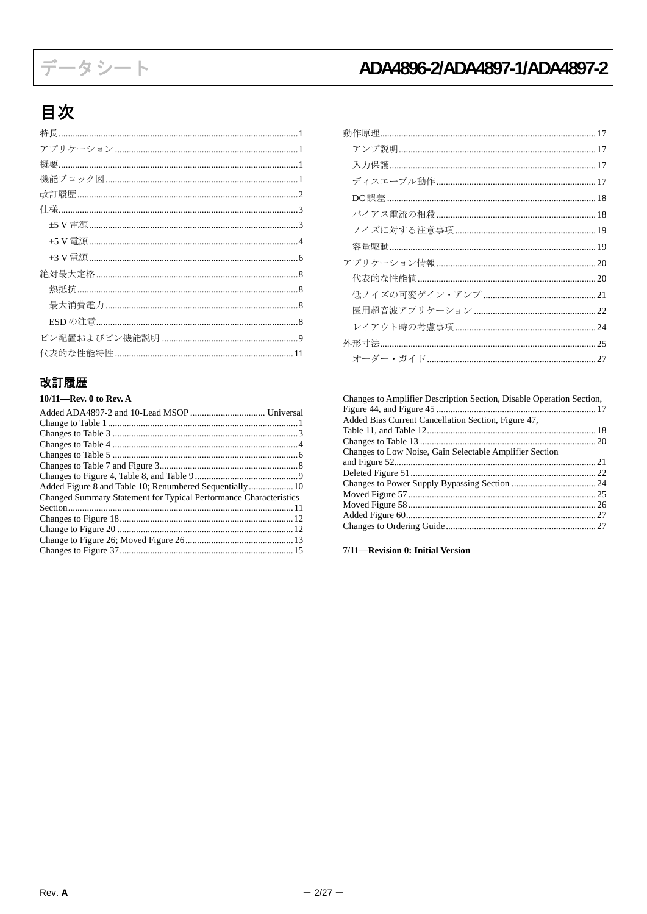# データシート

# ADA4896-2/ADA4897-1/ADA4897-2

## 目次

| 機能ブロック図……………………………………………………………………………1 |
|---------------------------------------|
|                                       |
|                                       |
|                                       |
|                                       |
|                                       |
|                                       |
|                                       |
|                                       |
|                                       |
|                                       |
|                                       |

## <span id="page-1-0"></span>改訂履歴

| $10/11$ —Rev. 0 to Rev. A                                         |  |
|-------------------------------------------------------------------|--|
|                                                                   |  |
|                                                                   |  |
|                                                                   |  |
|                                                                   |  |
|                                                                   |  |
|                                                                   |  |
|                                                                   |  |
|                                                                   |  |
| Changed Summary Statement for Typical Performance Characteristics |  |
|                                                                   |  |
|                                                                   |  |
|                                                                   |  |
|                                                                   |  |
|                                                                   |  |
|                                                                   |  |

| バイアス電流の相殺…………………………………………………………18 |  |
|-----------------------------------|--|
|                                   |  |
|                                   |  |
|                                   |  |
|                                   |  |
|                                   |  |
|                                   |  |
|                                   |  |
|                                   |  |
|                                   |  |

| Changes to Amplifier Description Section, Disable Operation Section, |  |
|----------------------------------------------------------------------|--|
|                                                                      |  |
| Added Bias Current Cancellation Section, Figure 47,                  |  |
|                                                                      |  |
|                                                                      |  |
| Changes to Low Noise, Gain Selectable Amplifier Section              |  |
|                                                                      |  |
|                                                                      |  |
|                                                                      |  |
|                                                                      |  |
|                                                                      |  |
|                                                                      |  |
|                                                                      |  |

7/11-Revision 0: Initial Version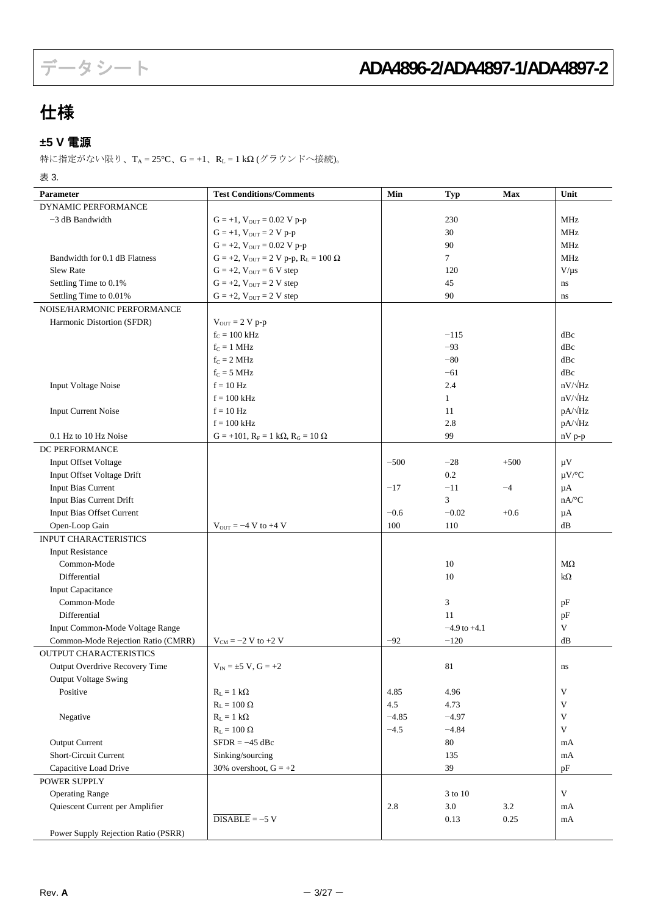## <span id="page-2-0"></span>仕様

## <span id="page-2-1"></span>**±5 V** 電源

特に指定がない限り、TA = 25°C、G = +1、RL = 1 kΩ (グラウンドへ接続)。

表 3.

| Parameter                           | <b>Test Conditions/Comments</b>                       | Min     | <b>Typ</b>       | Max     | Unit                      |
|-------------------------------------|-------------------------------------------------------|---------|------------------|---------|---------------------------|
| DYNAMIC PERFORMANCE                 |                                                       |         |                  |         |                           |
| $-3$ dB Bandwidth                   | $G = +1$ , $V_{OUT} = 0.02$ V p-p                     |         | 230              |         | MHz                       |
|                                     | $G = +1$ , $V_{OUT} = 2 V p-p$                        |         | 30               |         | MHz                       |
|                                     | $G = +2$ , $V_{OUT} = 0.02$ V p-p                     |         | 90               |         | <b>MHz</b>                |
| Bandwidth for 0.1 dB Flatness       | $G = +2$ , $V_{OUT} = 2 V p-p$ , $R_L = 100 \Omega$   |         | $\tau$           |         | MHz                       |
| Slew Rate                           | $G = +2$ , $V_{OUT} = 6$ V step                       |         | 120              |         | $V/\mu s$                 |
| Settling Time to 0.1%               | $G = +2$ , $V_{OUT} = 2 V step$                       |         | 45               |         | ns                        |
| Settling Time to 0.01%              | $G = +2$ , $V_{OUT} = 2 V$ step                       |         | 90               |         | ns                        |
| NOISE/HARMONIC PERFORMANCE          |                                                       |         |                  |         |                           |
| Harmonic Distortion (SFDR)          | $V_{OUT} = 2 V p-p$                                   |         |                  |         |                           |
|                                     | $f_C = 100$ kHz                                       |         | $-115$           |         | dBc                       |
|                                     | $f_c = 1$ MHz                                         |         | $-93$            |         | dBc                       |
|                                     | $f_C = 2 MHz$                                         |         | $-80$            |         | dBc                       |
|                                     | $f_C = 5 \text{ MHz}$                                 |         | $-61$            |         | dBc                       |
| <b>Input Voltage Noise</b>          | $f = 10$ Hz                                           |         | 2.4              |         | $nV/\sqrt{Hz}$            |
|                                     | $f = 100$ kHz                                         |         | $\mathbf{1}$     |         | $nV/\sqrt{Hz}$            |
| <b>Input Current Noise</b>          | $f = 10$ Hz                                           |         | 11               |         | $pA/\sqrt{Hz}$            |
|                                     | $f = 100$ kHz                                         |         | 2.8              |         | pA/ $\sqrt{Hz}$           |
| 0.1 Hz to 10 Hz Noise               | $G = +101$ , $R_F = 1$ k $\Omega$ , $R_G = 10 \Omega$ |         | 99               |         | nV p-p                    |
| DC PERFORMANCE                      |                                                       |         |                  |         |                           |
| Input Offset Voltage                |                                                       | $-500$  | $-28$            | $+500$  | $\mu$ V                   |
| Input Offset Voltage Drift          |                                                       |         | 0.2              |         | $\mu V$ /°C               |
| <b>Input Bias Current</b>           |                                                       | $-17$   | $-11$            | $-4$    | μA                        |
| Input Bias Current Drift            |                                                       |         | 3                |         | $nA$ <sup>o</sup> C       |
| Input Bias Offset Current           |                                                       | $-0.6$  | $-0.02$          | $+0.6$  | μA                        |
| Open-Loop Gain                      | $V_{\text{OUT}} = -4 V$ to +4 V                       | 100     | 110              |         | dB                        |
| INPUT CHARACTERISTICS               |                                                       |         |                  |         |                           |
| <b>Input Resistance</b>             |                                                       |         |                  |         |                           |
| Common-Mode                         |                                                       |         | 10               |         | $M\Omega$                 |
| Differential                        |                                                       |         | 10               |         | $k\Omega$                 |
| <b>Input Capacitance</b>            |                                                       |         |                  |         |                           |
| Common-Mode                         |                                                       |         | 3                |         | pF                        |
| Differential                        |                                                       |         | 11               |         | pF                        |
| Input Common-Mode Voltage Range     |                                                       |         | $-4.9$ to $+4.1$ |         | V                         |
| Common-Mode Rejection Ratio (CMRR)  | $V_{CM} = -2 V$ to +2 V                               | $-92$   | $-120$           |         | dB                        |
| <b>OUTPUT CHARACTERISTICS</b>       |                                                       |         |                  |         |                           |
| Output Overdrive Recovery Time      | $V_{IN} = \pm 5 V$ , $G = +2$                         |         | $81\,$           |         | ns                        |
| Output Voltage Swing                |                                                       |         |                  |         |                           |
| Positive                            | $R_L = 1 k\Omega$                                     | 4.85    | 4.96             |         | $\mathbf{V}$              |
|                                     | $R_{\rm L} = 100~\Omega$                              | 4.5     | 4.73             |         | $\ensuremath{\mathbf{V}}$ |
| Negative                            | $R_L = 1 k\Omega$                                     | $-4.85$ | $-4.97$          |         | V                         |
|                                     | $R_{\rm L} = 100~\Omega$                              | $-4.5$  | $-4.84$          |         | $\mathbf{V}$              |
| <b>Output Current</b>               | $SFDR = -45$ dBc                                      |         | $80\,$           |         | mA                        |
| Short-Circuit Current               | Sinking/sourcing                                      |         | 135              |         | mA                        |
| Capacitive Load Drive               | 30% overshoot, $G = +2$                               |         | 39               |         | pF                        |
| POWER SUPPLY                        |                                                       |         |                  |         |                           |
| <b>Operating Range</b>              |                                                       |         | 3 to 10          |         | $\mathbf V$               |
| Quiescent Current per Amplifier     |                                                       | 2.8     | $3.0\,$          | $3.2\,$ | mA                        |
|                                     | $\overline{\text{DISABLE}}$ = -5 V                    |         | 0.13             | 0.25    | mA                        |
| Power Supply Rejection Ratio (PSRR) |                                                       |         |                  |         |                           |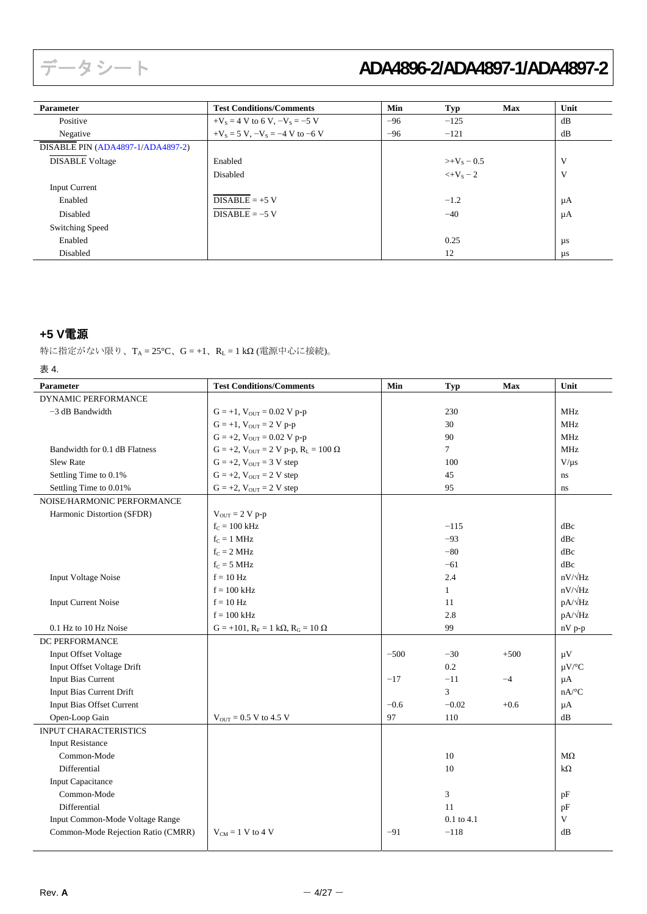| <b>Parameter</b>                  | <b>Test Conditions/Comments</b>        | Min   | Typ                         | <b>Max</b> | Unit    |
|-----------------------------------|----------------------------------------|-------|-----------------------------|------------|---------|
| Positive                          | $+V_s = 4 V$ to 6 V, $-V_s = -5 V$     | $-96$ | $-125$                      |            | dB      |
| Negative                          | $+V_s = 5 V$ , $-V_s = -4 V$ to $-6 V$ | $-96$ | $-121$                      |            | dB      |
| DISABLE PIN (ADA4897-1/ADA4897-2) |                                        |       |                             |            |         |
| <b>DISABLE Voltage</b>            | Enabled                                |       | $>+V_s = 0.5$               |            | V       |
|                                   | Disabled                               |       | $\leftarrow$ $\rm +V_S = 2$ |            | V       |
| <b>Input Current</b>              |                                        |       |                             |            |         |
| Enabled                           | $DISABLE = +5 V$                       |       | $-1.2$                      |            | μA      |
| Disabled                          | $DISABLE = -5 V$                       |       | $-40$                       |            | μA      |
| Switching Speed                   |                                        |       |                             |            |         |
| Enabled                           |                                        |       | 0.25                        |            | $\mu s$ |
| Disabled                          |                                        |       | 12                          |            | $\mu s$ |

## <span id="page-3-0"></span>**+5 V**電源

特に指定がない限り、TA = 25°C、G = +1、RL = 1 kΩ (電源中心に接続)。

#### 表 4.

| DYNAMIC PERFORMANCE<br>$-3$ dB Bandwidth<br>$G = +1$ , $V_{OUT} = 0.02$ V p-p<br>230<br><b>MHz</b><br>$G = +1$ , $V_{OUT} = 2 V p-p$<br>30<br><b>MHz</b><br>$G = +2$ , $V_{OUT} = 0.02$ V p-p<br>90<br>MHz<br>$\overline{7}$<br>$G = +2$ , $V_{OUT} = 2 V p-p$ , $R_L = 100 \Omega$<br>Bandwidth for 0.1 dB Flatness<br>MHz<br>$G = +2$ , $V_{OUT} = 3 V$ step<br><b>Slew Rate</b><br>100<br>$V/\mu s$<br>Settling Time to 0.1%<br>$G = +2$ , $V_{OUT} = 2 V$ step<br>45<br>ns<br>Settling Time to 0.01%<br>95<br>$G = +2$ , $V_{OUT} = 2 V$ step<br>$\rm ns$<br>NOISE/HARMONIC PERFORMANCE<br>Harmonic Distortion (SFDR)<br>$V_{OUT} = 2 V p-p$<br>$f_C = 100$ kHz<br>$-115$<br>dBc<br>$f_C = 1$ MHz<br>$-93$<br>dBc<br>$f_C = 2 MHz$<br>$-80$<br>dBc<br>$f_C = 5 \text{ MHz}$<br>$-61$<br>dBc<br>$nV/\sqrt{Hz}$<br>$f = 10$ Hz<br>2.4<br><b>Input Voltage Noise</b><br>$nV/\sqrt{Hz}$<br>$f = 100$ kHz<br>$\mathbf{1}$<br>$pA/\sqrt{Hz}$<br><b>Input Current Noise</b><br>$f = 10$ Hz<br>11<br>pA/ $\sqrt{Hz}$<br>2.8<br>$f = 100$ kHz<br>99<br>0.1 Hz to 10 Hz Noise<br>$G = +101$ , $R_F = 1$ k $\Omega$ , $R_G = 10 \Omega$<br>nV p-p<br>DC PERFORMANCE<br>$-500$<br>$-30$<br>$+500$<br>Input Offset Voltage<br>$\mu$ V<br>Input Offset Voltage Drift<br>0.2<br>$\mu V$ /°C<br><b>Input Bias Current</b><br>$-11$<br>$-17$<br>$-4$<br>$\mu A$<br>Input Bias Current Drift<br>3<br>$nA$ <sup>o</sup> C<br>Input Bias Offset Current<br>$-0.6$<br>$-0.02$<br>$+0.6$<br>$\mu A$<br>97<br>Open-Loop Gain<br>$V_{OUT} = 0.5 V$ to 4.5 V<br>110<br>dB<br>INPUT CHARACTERISTICS<br><b>Input Resistance</b><br>Common-Mode<br>10<br>$M\Omega$<br>Differential<br>10<br>$k\Omega$<br><b>Input Capacitance</b><br>Common-Mode<br>3<br>pF<br>Differential<br>11<br>pF<br>V<br>Input Common-Mode Voltage Range<br>$0.1$ to $4.1$ | Parameter                          | <b>Test Conditions/Comments</b> | Min   | <b>Typ</b> | Max | Unit |
|---------------------------------------------------------------------------------------------------------------------------------------------------------------------------------------------------------------------------------------------------------------------------------------------------------------------------------------------------------------------------------------------------------------------------------------------------------------------------------------------------------------------------------------------------------------------------------------------------------------------------------------------------------------------------------------------------------------------------------------------------------------------------------------------------------------------------------------------------------------------------------------------------------------------------------------------------------------------------------------------------------------------------------------------------------------------------------------------------------------------------------------------------------------------------------------------------------------------------------------------------------------------------------------------------------------------------------------------------------------------------------------------------------------------------------------------------------------------------------------------------------------------------------------------------------------------------------------------------------------------------------------------------------------------------------------------------------------------------------------------------------------------------------------------------------------------------|------------------------------------|---------------------------------|-------|------------|-----|------|
|                                                                                                                                                                                                                                                                                                                                                                                                                                                                                                                                                                                                                                                                                                                                                                                                                                                                                                                                                                                                                                                                                                                                                                                                                                                                                                                                                                                                                                                                                                                                                                                                                                                                                                                                                                                                                           |                                    |                                 |       |            |     |      |
|                                                                                                                                                                                                                                                                                                                                                                                                                                                                                                                                                                                                                                                                                                                                                                                                                                                                                                                                                                                                                                                                                                                                                                                                                                                                                                                                                                                                                                                                                                                                                                                                                                                                                                                                                                                                                           |                                    |                                 |       |            |     |      |
|                                                                                                                                                                                                                                                                                                                                                                                                                                                                                                                                                                                                                                                                                                                                                                                                                                                                                                                                                                                                                                                                                                                                                                                                                                                                                                                                                                                                                                                                                                                                                                                                                                                                                                                                                                                                                           |                                    |                                 |       |            |     |      |
|                                                                                                                                                                                                                                                                                                                                                                                                                                                                                                                                                                                                                                                                                                                                                                                                                                                                                                                                                                                                                                                                                                                                                                                                                                                                                                                                                                                                                                                                                                                                                                                                                                                                                                                                                                                                                           |                                    |                                 |       |            |     |      |
|                                                                                                                                                                                                                                                                                                                                                                                                                                                                                                                                                                                                                                                                                                                                                                                                                                                                                                                                                                                                                                                                                                                                                                                                                                                                                                                                                                                                                                                                                                                                                                                                                                                                                                                                                                                                                           |                                    |                                 |       |            |     |      |
|                                                                                                                                                                                                                                                                                                                                                                                                                                                                                                                                                                                                                                                                                                                                                                                                                                                                                                                                                                                                                                                                                                                                                                                                                                                                                                                                                                                                                                                                                                                                                                                                                                                                                                                                                                                                                           |                                    |                                 |       |            |     |      |
|                                                                                                                                                                                                                                                                                                                                                                                                                                                                                                                                                                                                                                                                                                                                                                                                                                                                                                                                                                                                                                                                                                                                                                                                                                                                                                                                                                                                                                                                                                                                                                                                                                                                                                                                                                                                                           |                                    |                                 |       |            |     |      |
|                                                                                                                                                                                                                                                                                                                                                                                                                                                                                                                                                                                                                                                                                                                                                                                                                                                                                                                                                                                                                                                                                                                                                                                                                                                                                                                                                                                                                                                                                                                                                                                                                                                                                                                                                                                                                           |                                    |                                 |       |            |     |      |
|                                                                                                                                                                                                                                                                                                                                                                                                                                                                                                                                                                                                                                                                                                                                                                                                                                                                                                                                                                                                                                                                                                                                                                                                                                                                                                                                                                                                                                                                                                                                                                                                                                                                                                                                                                                                                           |                                    |                                 |       |            |     |      |
|                                                                                                                                                                                                                                                                                                                                                                                                                                                                                                                                                                                                                                                                                                                                                                                                                                                                                                                                                                                                                                                                                                                                                                                                                                                                                                                                                                                                                                                                                                                                                                                                                                                                                                                                                                                                                           |                                    |                                 |       |            |     |      |
|                                                                                                                                                                                                                                                                                                                                                                                                                                                                                                                                                                                                                                                                                                                                                                                                                                                                                                                                                                                                                                                                                                                                                                                                                                                                                                                                                                                                                                                                                                                                                                                                                                                                                                                                                                                                                           |                                    |                                 |       |            |     |      |
|                                                                                                                                                                                                                                                                                                                                                                                                                                                                                                                                                                                                                                                                                                                                                                                                                                                                                                                                                                                                                                                                                                                                                                                                                                                                                                                                                                                                                                                                                                                                                                                                                                                                                                                                                                                                                           |                                    |                                 |       |            |     |      |
|                                                                                                                                                                                                                                                                                                                                                                                                                                                                                                                                                                                                                                                                                                                                                                                                                                                                                                                                                                                                                                                                                                                                                                                                                                                                                                                                                                                                                                                                                                                                                                                                                                                                                                                                                                                                                           |                                    |                                 |       |            |     |      |
|                                                                                                                                                                                                                                                                                                                                                                                                                                                                                                                                                                                                                                                                                                                                                                                                                                                                                                                                                                                                                                                                                                                                                                                                                                                                                                                                                                                                                                                                                                                                                                                                                                                                                                                                                                                                                           |                                    |                                 |       |            |     |      |
|                                                                                                                                                                                                                                                                                                                                                                                                                                                                                                                                                                                                                                                                                                                                                                                                                                                                                                                                                                                                                                                                                                                                                                                                                                                                                                                                                                                                                                                                                                                                                                                                                                                                                                                                                                                                                           |                                    |                                 |       |            |     |      |
|                                                                                                                                                                                                                                                                                                                                                                                                                                                                                                                                                                                                                                                                                                                                                                                                                                                                                                                                                                                                                                                                                                                                                                                                                                                                                                                                                                                                                                                                                                                                                                                                                                                                                                                                                                                                                           |                                    |                                 |       |            |     |      |
|                                                                                                                                                                                                                                                                                                                                                                                                                                                                                                                                                                                                                                                                                                                                                                                                                                                                                                                                                                                                                                                                                                                                                                                                                                                                                                                                                                                                                                                                                                                                                                                                                                                                                                                                                                                                                           |                                    |                                 |       |            |     |      |
|                                                                                                                                                                                                                                                                                                                                                                                                                                                                                                                                                                                                                                                                                                                                                                                                                                                                                                                                                                                                                                                                                                                                                                                                                                                                                                                                                                                                                                                                                                                                                                                                                                                                                                                                                                                                                           |                                    |                                 |       |            |     |      |
|                                                                                                                                                                                                                                                                                                                                                                                                                                                                                                                                                                                                                                                                                                                                                                                                                                                                                                                                                                                                                                                                                                                                                                                                                                                                                                                                                                                                                                                                                                                                                                                                                                                                                                                                                                                                                           |                                    |                                 |       |            |     |      |
|                                                                                                                                                                                                                                                                                                                                                                                                                                                                                                                                                                                                                                                                                                                                                                                                                                                                                                                                                                                                                                                                                                                                                                                                                                                                                                                                                                                                                                                                                                                                                                                                                                                                                                                                                                                                                           |                                    |                                 |       |            |     |      |
|                                                                                                                                                                                                                                                                                                                                                                                                                                                                                                                                                                                                                                                                                                                                                                                                                                                                                                                                                                                                                                                                                                                                                                                                                                                                                                                                                                                                                                                                                                                                                                                                                                                                                                                                                                                                                           |                                    |                                 |       |            |     |      |
|                                                                                                                                                                                                                                                                                                                                                                                                                                                                                                                                                                                                                                                                                                                                                                                                                                                                                                                                                                                                                                                                                                                                                                                                                                                                                                                                                                                                                                                                                                                                                                                                                                                                                                                                                                                                                           |                                    |                                 |       |            |     |      |
|                                                                                                                                                                                                                                                                                                                                                                                                                                                                                                                                                                                                                                                                                                                                                                                                                                                                                                                                                                                                                                                                                                                                                                                                                                                                                                                                                                                                                                                                                                                                                                                                                                                                                                                                                                                                                           |                                    |                                 |       |            |     |      |
|                                                                                                                                                                                                                                                                                                                                                                                                                                                                                                                                                                                                                                                                                                                                                                                                                                                                                                                                                                                                                                                                                                                                                                                                                                                                                                                                                                                                                                                                                                                                                                                                                                                                                                                                                                                                                           |                                    |                                 |       |            |     |      |
|                                                                                                                                                                                                                                                                                                                                                                                                                                                                                                                                                                                                                                                                                                                                                                                                                                                                                                                                                                                                                                                                                                                                                                                                                                                                                                                                                                                                                                                                                                                                                                                                                                                                                                                                                                                                                           |                                    |                                 |       |            |     |      |
|                                                                                                                                                                                                                                                                                                                                                                                                                                                                                                                                                                                                                                                                                                                                                                                                                                                                                                                                                                                                                                                                                                                                                                                                                                                                                                                                                                                                                                                                                                                                                                                                                                                                                                                                                                                                                           |                                    |                                 |       |            |     |      |
|                                                                                                                                                                                                                                                                                                                                                                                                                                                                                                                                                                                                                                                                                                                                                                                                                                                                                                                                                                                                                                                                                                                                                                                                                                                                                                                                                                                                                                                                                                                                                                                                                                                                                                                                                                                                                           |                                    |                                 |       |            |     |      |
|                                                                                                                                                                                                                                                                                                                                                                                                                                                                                                                                                                                                                                                                                                                                                                                                                                                                                                                                                                                                                                                                                                                                                                                                                                                                                                                                                                                                                                                                                                                                                                                                                                                                                                                                                                                                                           |                                    |                                 |       |            |     |      |
|                                                                                                                                                                                                                                                                                                                                                                                                                                                                                                                                                                                                                                                                                                                                                                                                                                                                                                                                                                                                                                                                                                                                                                                                                                                                                                                                                                                                                                                                                                                                                                                                                                                                                                                                                                                                                           |                                    |                                 |       |            |     |      |
|                                                                                                                                                                                                                                                                                                                                                                                                                                                                                                                                                                                                                                                                                                                                                                                                                                                                                                                                                                                                                                                                                                                                                                                                                                                                                                                                                                                                                                                                                                                                                                                                                                                                                                                                                                                                                           |                                    |                                 |       |            |     |      |
|                                                                                                                                                                                                                                                                                                                                                                                                                                                                                                                                                                                                                                                                                                                                                                                                                                                                                                                                                                                                                                                                                                                                                                                                                                                                                                                                                                                                                                                                                                                                                                                                                                                                                                                                                                                                                           |                                    |                                 |       |            |     |      |
|                                                                                                                                                                                                                                                                                                                                                                                                                                                                                                                                                                                                                                                                                                                                                                                                                                                                                                                                                                                                                                                                                                                                                                                                                                                                                                                                                                                                                                                                                                                                                                                                                                                                                                                                                                                                                           |                                    |                                 |       |            |     |      |
|                                                                                                                                                                                                                                                                                                                                                                                                                                                                                                                                                                                                                                                                                                                                                                                                                                                                                                                                                                                                                                                                                                                                                                                                                                                                                                                                                                                                                                                                                                                                                                                                                                                                                                                                                                                                                           |                                    |                                 |       |            |     |      |
|                                                                                                                                                                                                                                                                                                                                                                                                                                                                                                                                                                                                                                                                                                                                                                                                                                                                                                                                                                                                                                                                                                                                                                                                                                                                                                                                                                                                                                                                                                                                                                                                                                                                                                                                                                                                                           |                                    |                                 |       |            |     |      |
|                                                                                                                                                                                                                                                                                                                                                                                                                                                                                                                                                                                                                                                                                                                                                                                                                                                                                                                                                                                                                                                                                                                                                                                                                                                                                                                                                                                                                                                                                                                                                                                                                                                                                                                                                                                                                           | Common-Mode Rejection Ratio (CMRR) | $V_{CM} = 1 V$ to 4 V           | $-91$ | $-118$     |     | dB   |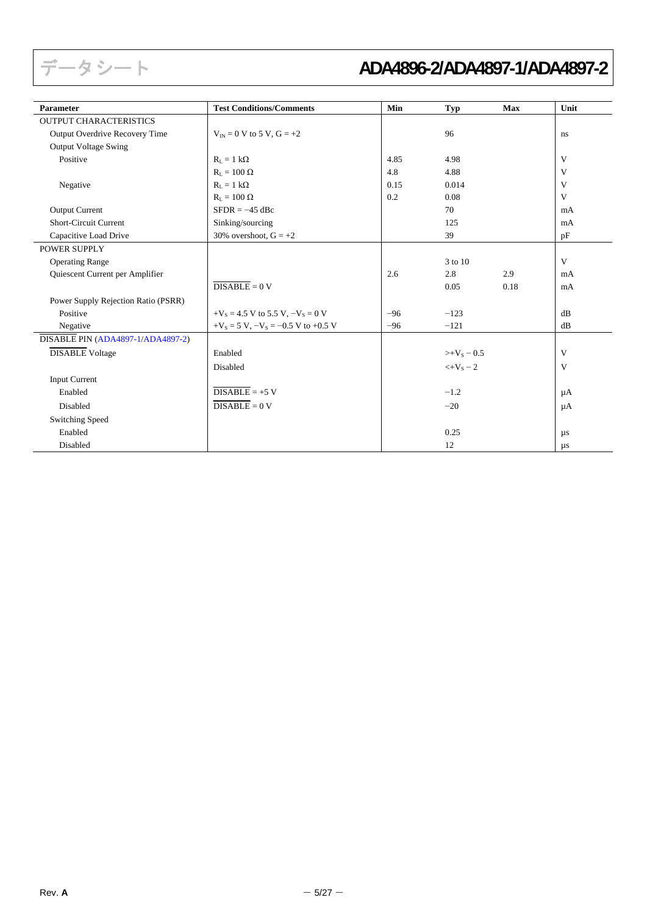| <b>Parameter</b>                    | <b>Test Conditions/Comments</b>            | Min   | <b>Typ</b>                         | Max  | Unit    |
|-------------------------------------|--------------------------------------------|-------|------------------------------------|------|---------|
| <b>OUTPUT CHARACTERISTICS</b>       |                                            |       |                                    |      |         |
| Output Overdrive Recovery Time      | $V_{IN} = 0$ V to 5 V, $G = +2$            |       | 96                                 |      | ns      |
| Output Voltage Swing                |                                            |       |                                    |      |         |
| Positive                            | $R_{L} = 1 k\Omega$                        | 4.85  | 4.98                               |      | V       |
|                                     | $R_{\rm L} = 100 \Omega$                   | 4.8   | 4.88                               |      | V       |
| Negative                            | $R_L = 1 k\Omega$                          | 0.15  | 0.014                              |      | V       |
|                                     | $R_{\rm L} = 100~\Omega$                   | 0.2   | 0.08                               |      | V       |
| <b>Output Current</b>               | $SFDR = -45$ dBc                           |       | 70                                 |      | mA      |
| <b>Short-Circuit Current</b>        | Sinking/sourcing                           |       | 125                                |      | mA      |
| Capacitive Load Drive               | 30% overshoot, $G = +2$                    |       | 39                                 |      | pF      |
| <b>POWER SUPPLY</b>                 |                                            |       |                                    |      |         |
| <b>Operating Range</b>              |                                            |       | 3 to 10                            |      | V       |
| Quiescent Current per Amplifier     |                                            | 2.6   | 2.8                                | 2.9  | mA      |
|                                     | $DISABLE = 0 V$                            |       | 0.05                               | 0.18 | mA      |
| Power Supply Rejection Ratio (PSRR) |                                            |       |                                    |      |         |
| Positive                            | $+V_s = 4.5$ V to 5.5 V, $-V_s = 0$ V      | $-96$ | $-123$                             |      | dB      |
| Negative                            | $+V_s = 5 V$ , $-V_s = -0.5 V$ to $+0.5 V$ | $-96$ | $-121$                             |      | dB      |
| DISABLE PIN (ADA4897-1/ADA4897-2)   |                                            |       |                                    |      |         |
| <b>DISABLE Voltage</b>              | Enabled                                    |       | $>+V_s = 0.5$                      |      | V       |
|                                     | Disabled                                   |       | $\leftarrow$ $\rm{V}_{\rm{s}}$ – 2 |      | V       |
| <b>Input Current</b>                |                                            |       |                                    |      |         |
| Enabled                             | $DISABLE = +5 V$                           |       | $-1.2$                             |      | $\mu A$ |
| Disabled                            | $\overline{\text{DISABLE}} = 0 \text{ V}$  |       | $-20$                              |      | $\mu A$ |
| <b>Switching Speed</b>              |                                            |       |                                    |      |         |
| Enabled                             |                                            |       | 0.25                               |      | $\mu s$ |
| Disabled                            |                                            |       | 12                                 |      | $\mu s$ |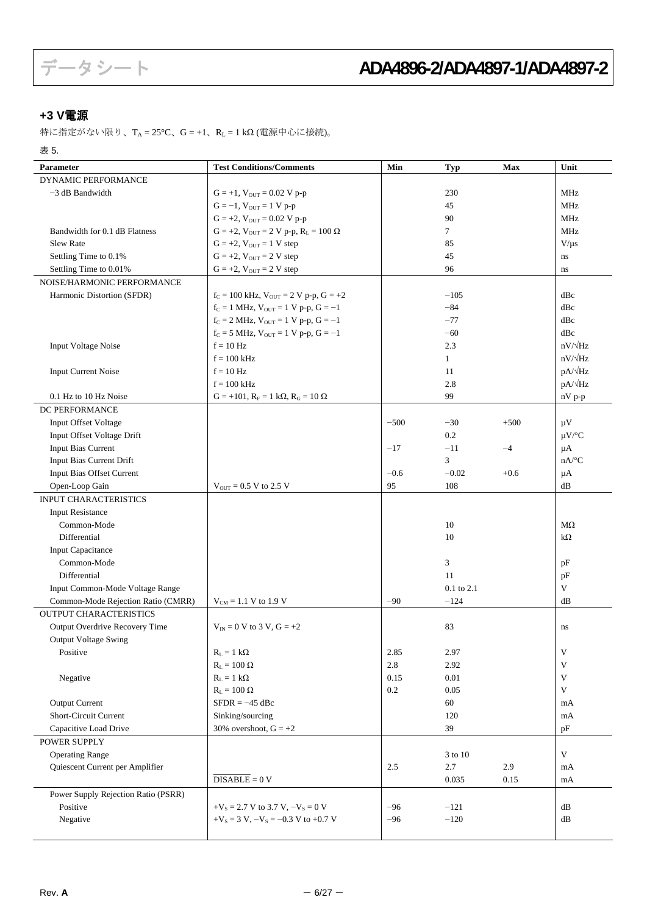## <span id="page-5-0"></span>**+3 V**電源

特に指定がない限り、TA = 25°C、G = +1、RL = 1 kΩ (電源中心に接続)。

表 5.

| Parameter                           | <b>Test Conditions/Comments</b>                       | Min     | <b>Typ</b>   | <b>Max</b> | Unit                      |
|-------------------------------------|-------------------------------------------------------|---------|--------------|------------|---------------------------|
| <b>DYNAMIC PERFORMANCE</b>          |                                                       |         |              |            |                           |
| $-3$ dB Bandwidth                   | $G = +1$ , $V_{OUT} = 0.02$ V p-p                     |         | 230          |            | MHz                       |
|                                     | $G = -1$ , $V_{OUT} = 1 V p-p$                        |         | 45           |            | MHz                       |
|                                     | $G = +2$ , $V_{OUT} = 0.02$ V p-p                     |         | 90           |            | MHz                       |
| Bandwidth for 0.1 dB Flatness       | $G = +2$ , $V_{OUT} = 2 V p-p$ , $R_L = 100 \Omega$   |         | $\tau$       |            | <b>MHz</b>                |
| Slew Rate                           | $G = +2$ , $V_{OUT} = 1$ V step                       |         | 85           |            | $V/\mu s$                 |
| Settling Time to 0.1%               | $G = +2$ , $V_{OUT} = 2 V$ step                       |         | 45           |            | $\rm ns$                  |
| Settling Time to 0.01%              | $G = +2$ , $V_{OUT} = 2 V$ step                       |         | 96           |            | $\rm ns$                  |
| NOISE/HARMONIC PERFORMANCE          |                                                       |         |              |            |                           |
| Harmonic Distortion (SFDR)          | $f_C = 100$ kHz, $V_{OUT} = 2$ V p-p, $G = +2$        |         | $-105$       |            | dBc                       |
|                                     | $f_C = 1$ MHz, $V_{OUT} = 1$ V p-p, $G = -1$          |         | $-84$        |            | dBc                       |
|                                     | $f_C = 2$ MHz, $V_{OUT} = 1$ V p-p, $G = -1$          |         | $-77$        |            | dBc                       |
|                                     | $f_C = 5$ MHz, $V_{OUT} = 1$ V p-p, $G = -1$          |         | $-60$        |            | dBc                       |
| <b>Input Voltage Noise</b>          | $f = 10 Hz$                                           |         | 2.3          |            | $nV/\sqrt{Hz}$            |
|                                     | $f = 100$ kHz                                         |         | $\mathbf{1}$ |            | $nV/\sqrt{Hz}$            |
| <b>Input Current Noise</b>          | $f = 10 Hz$                                           |         | 11           |            | $pA/\sqrt{Hz}$            |
|                                     | $f = 100$ kHz                                         |         | 2.8          |            | $pA/\sqrt{Hz}$            |
| 0.1 Hz to 10 Hz Noise               | $G = +101$ , $R_F = 1$ k $\Omega$ , $R_G = 10 \Omega$ |         | 99           |            | nV p-p                    |
| DC PERFORMANCE                      |                                                       |         |              |            |                           |
| <b>Input Offset Voltage</b>         |                                                       | $-500$  | $-30$        | $+500$     | $\mu$ V                   |
| Input Offset Voltage Drift          |                                                       |         | $0.2\,$      |            | $\mu$ V/°C                |
| <b>Input Bias Current</b>           |                                                       | $-17$   | $-11$        | $-4$       |                           |
|                                     |                                                       |         | 3            |            | μA<br>$nA$ <sup>o</sup> C |
| Input Bias Current Drift            |                                                       |         |              |            |                           |
| Input Bias Offset Current           |                                                       | $-0.6$  | $-0.02$      | $+0.6$     | μA                        |
| Open-Loop Gain                      | $V_{\text{OUT}} = 0.5 V$ to 2.5 V                     | 95      | 108          |            | dB                        |
| <b>INPUT CHARACTERISTICS</b>        |                                                       |         |              |            |                           |
| <b>Input Resistance</b>             |                                                       |         |              |            |                           |
| Common-Mode                         |                                                       |         | 10           |            | МΩ                        |
| Differential                        |                                                       |         | 10           |            | $k\Omega$                 |
| <b>Input Capacitance</b>            |                                                       |         |              |            |                           |
| Common-Mode                         |                                                       |         | 3            |            | pF                        |
| Differential                        |                                                       |         | 11           |            | pF                        |
| Input Common-Mode Voltage Range     |                                                       |         | 0.1 to 2.1   |            | V                         |
| Common-Mode Rejection Ratio (CMRR)  | $V_{CM} = 1.1 V$ to 1.9 V                             | $-90$   | $-124$       |            | dB                        |
| <b>OUTPUT CHARACTERISTICS</b>       |                                                       |         |              |            |                           |
| Output Overdrive Recovery Time      | $V_{IN} = 0$ V to 3 V, $G = +2$                       |         | 83           |            | ns                        |
| <b>Output Voltage Swing</b>         |                                                       |         |              |            |                           |
| Positive                            | $R_{\rm L}=1~{\rm k}\Omega$                           | 2.85    | 2.97         |            | $\ensuremath{\mathsf{V}}$ |
|                                     | $R_{\rm L} = 100~\Omega$                              | $2.8\,$ | 2.92         |            | $\mathbf{V}$              |
| Negative                            | $R_L = 1 k\Omega$                                     | 0.15    | 0.01         |            | $\mathbf{V}$              |
|                                     | $R_{\rm L} = 100~\Omega$                              | $0.2\,$ | 0.05         |            | V                         |
| <b>Output Current</b>               | $SFDR = -45$ dBc                                      |         | 60           |            | mA                        |
| Short-Circuit Current               | Sinking/sourcing                                      |         | 120          |            | mA                        |
| Capacitive Load Drive               | 30% overshoot, $G = +2$                               |         | 39           |            | pF                        |
| POWER SUPPLY                        |                                                       |         |              |            |                           |
| <b>Operating Range</b>              |                                                       |         | 3 to 10      |            | $\mathbf V$               |
| Quiescent Current per Amplifier     |                                                       | 2.5     | 2.7          | 2.9        | mA                        |
|                                     | $\overline{\text{DISABLE}} = 0 \text{ V}$             |         | 0.035        | 0.15       | mA                        |
| Power Supply Rejection Ratio (PSRR) |                                                       |         |              |            |                           |
| Positive                            | $+V_s = 2.7$ V to 3.7 V, $-V_s = 0$ V                 | -96     | $-121$       |            | dB                        |
| Negative                            | $+V_s = 3 V$ , $-V_s = -0.3 V$ to $+0.7 V$            | -96     | $-120$       |            | $\mathrm{dB}$             |
|                                     |                                                       |         |              |            |                           |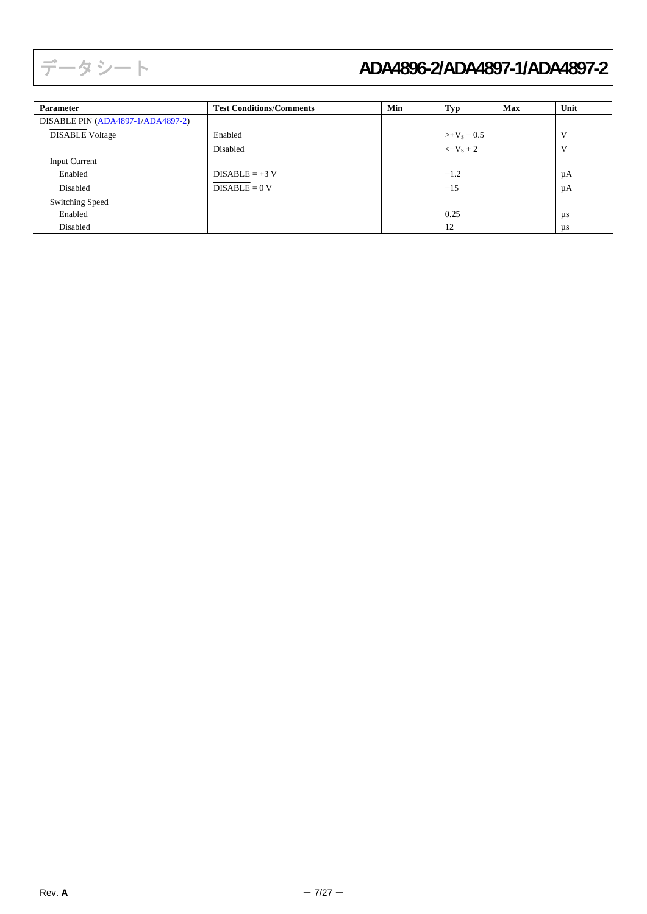| <b>Parameter</b>                  | <b>Test Conditions/Comments</b> | Min | Typ                  | <b>Max</b> | Unit    |
|-----------------------------------|---------------------------------|-----|----------------------|------------|---------|
| DISABLE PIN (ADA4897-1/ADA4897-2) |                                 |     |                      |            |         |
| <b>DISABLE Voltage</b>            | Enabled                         |     | $>+V_s = 0.5$        |            | V       |
|                                   | Disabled                        |     | $\langle -V_{S} + 2$ |            | V       |
| <b>Input Current</b>              |                                 |     |                      |            |         |
| Enabled                           | $DISABLE = +3 V$                |     | $-1.2$               |            | μA      |
| Disabled                          | $DISABLE = 0 V$                 |     | $-15$                |            | μA      |
| Switching Speed                   |                                 |     |                      |            |         |
| Enabled                           |                                 |     | 0.25                 |            | μs      |
| Disabled                          |                                 |     | 12                   |            | $\mu s$ |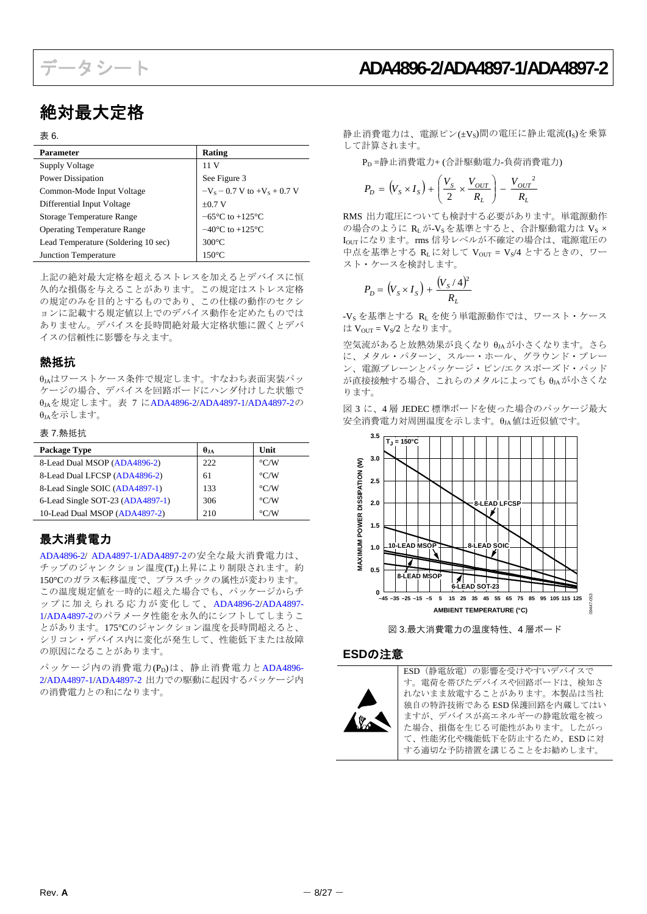## 絶対最大定格

#### 表 6.

| Parameter                           | Rating                              |
|-------------------------------------|-------------------------------------|
| Supply Voltage                      | 11 V                                |
| <b>Power Dissipation</b>            | See Figure 3                        |
| Common-Mode Input Voltage           | $-V_s$ – 0.7 V to + $V_s$ + 0.7 V   |
| Differential Input Voltage          | $\pm 0.7$ V                         |
| Storage Temperature Range           | $-65^{\circ}$ C to $+125^{\circ}$ C |
| <b>Operating Temperature Range</b>  | $-40^{\circ}$ C to $+125^{\circ}$ C |
| Lead Temperature (Soldering 10 sec) | $300^{\circ}$ C                     |
| Junction Temperature                | $150^{\circ}$ C                     |

上記の絶対最大定格を超えるストレスを加えるとデバイスに恒 久的な損傷を与えることがあります。この規定はストレス定格 の規定のみを目的とするものであり、この仕様の動作のセクシ ョンに記載する規定値以上でのデバイス動作を定めたものでは ありません。デバイスを長時間絶対最大定格状態に置くとデバ イスの信頼性に影響を与えます。

### <span id="page-7-0"></span>熱抵抗

θJAはワーストケース条件で規定します。すなわち表面実装パッ ケージの場合、デバイスを回路ボードにハンダ付けした状態で θJAを規定します。表 7 に[ADA4896-2](http://www.analog.com/jp/ADA4896-2)[/ADA4897-1](http://www.analog.com/jp/ADA4897-1)[/ADA4897-2](http://www.analog.com/jp/ADA4897-2)の <sup>θ</sup>JAを示します。 <sup>図</sup> <sup>3</sup>に、<sup>4</sup> <sup>層</sup> JEDEC 標準ボードを使った場合のパッケージ最大

### 表 7.熱抵抗

| Package Type                     | $\theta_{JA}$ | Unit               |
|----------------------------------|---------------|--------------------|
| 8-Lead Dual MSOP (ADA4896-2)     | 222           | $\rm ^{\circ}$ C/W |
| 8-Lead Dual LFCSP (ADA4896-2)    | 61            | $\rm ^{\circ}$ C/W |
| 8-Lead Single SOIC (ADA4897-1)   | 133           | $\rm ^{\circ}$ C/W |
| 6-Lead Single SOT-23 (ADA4897-1) | 306           | $\rm ^{\circ}$ C/W |
| 10-Lead Dual MSOP (ADA4897-2)    | 210           | $\rm ^{\circ}$ C/W |

### <span id="page-7-1"></span>最大消費電力

[ADA4896-2](http://www.analog.com/jp/ADA4896-2)/ [ADA4897-1](http://www.analog.com/jp/ADA4897-1)[/ADA4897-2](http://www.analog.com/jp/ADA4897-2)の安全な最大消費電力は、 チップのジャンクション温度(TJ)上昇により制限されます。約 150°Cのガラス転移温度で、プラスチックの属性が変わります。 この温度規定値を一時的に超えた場合でも、パッケージからチ ップに加えられる応力が変化して、 [ADA4896-2](http://www.analog.com/jp/ADA4896-2)[/ADA4897-](http://www.analog.com/jp/ADA4897-1) [1/](http://www.analog.com/jp/ADA4897-1)[ADA4897-2](http://www.analog.com/jp/ADA4897-2)のパラメータ性能を永久的にシフトしてしまうこ とがあります。175℃のジャンクション温度を長時間超えると、 シリコン・デバイス内に変化が発生して、性能低下または故障 の原因になることがあります。

<span id="page-7-2"></span> $\beta$ ッケージ内の消費電力(PD)は、静止消費電力と[ADA4896-](http://www.analog.com/jp/ADA4896-2) [2/](http://www.analog.com/jp/ADA4896-2)[ADA4897-1/](http://www.analog.com/jp/ADA4897-1)[ADA4897-2](http://www.analog.com/jp/ADA4897-2) 出力での駆動に起因するパッケージ内 の消費電力との和になります。

静止消費電力は、電源ピン(±Vs)間の電圧に静止電流(Is)を乗算 して計算されます。

PD =静止消費電力+ (合計駆動電力-負荷消費電力)

$$
P_D = (V_S \times I_S) + \left(\frac{V_S}{2} \times \frac{V_{OUT}}{R_L}\right) - \frac{V_{OUT}^2}{R_L}
$$

RMS 出力電圧についても検討する必要があります。単電源動作 の場合のように $R_L$ が- $V_S$ を基準とすると、合計駆動電力は $V_S \times$ IOUTになります。rms 信号レベルが不確定の場合は、電源電圧の 中点を基準とする RLに対して Vour = Vs/4 とするときの、ワー スト・ケースを検討します。

$$
P_D = (V_S \times I_S) + \frac{(V_S / 4)^2}{R_L}
$$

-Vs を基準とする RL を使う単電源動作では、ワースト・ケース は Vour = Vs/2 となります。

空気流があると放熱効果が良くなり θJA が小さくなります。さら に、メタル・パターン、スルー・ホール、グラウンド・プレー ン、電源プレーンとパッケージ・ピン/エクスポーズド・パッド が直接接触する場合、これらのメタルによっても θJAが小さくな ります。

安全消費電力対周囲温度を示します。 $\theta_{IA}$ 値は近似値です。



図 3.最大消費電力の温度特性、4 層ボード

#### **ESD**の注意



ESD(静電放電)の影響を受けやすいデバイスで す。電荷を帯びたデバイスや回路ボードは、検知さ れないまま放電することがあります。本製品は当社 独自の特許技術である ESD 保護回路を内蔵してはい ますが、デバイスが高エネルギーの静電放電を被っ た場合、損傷を生じる可能性があります。したがっ て、性能劣化や機能低下を防止するため、ESD に対 する適切な予防措置を講じることをお勧めします。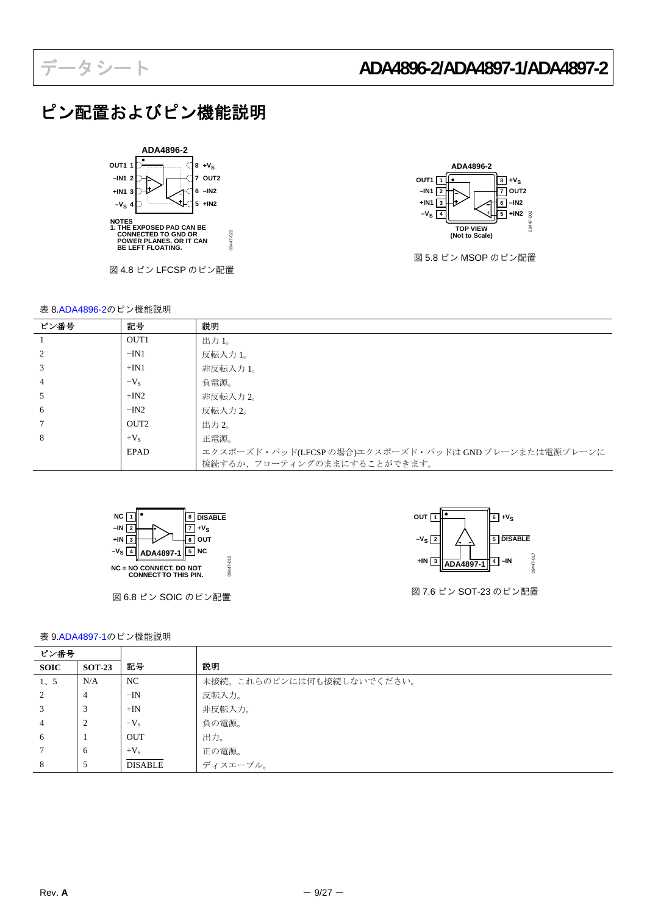# ピン配置およびピン機能説明



図 4.8 ピン LFCSP のピン配置

09447-022





図 5.8 ピン MSOP のピン配置

|      | 衣 0.ADA4090-Zの L ノ 倣 hE 就 明 |                                                     |
|------|-----------------------------|-----------------------------------------------------|
| ピン番号 | 記号                          | 説明                                                  |
|      | OUT <sub>1</sub>            | 出力 1。                                               |
|      | $-IN1$                      | 反転入力 1。                                             |
| 3    | $+IN1$                      | 非反転入力 1。                                            |
| 4    | $-V_s$                      | 負電源。                                                |
| C.   | $+IN2$                      | 非反転入力 2。                                            |
| 6    | $-IN2$                      | 反転入力 2。                                             |
|      | OUT <sub>2</sub>            | 出力 2。                                               |
| 8    | $+V_{S}$                    | 正電源。                                                |
|      | <b>EPAD</b>                 | エクスポーズド・パッド(LFCSPの場合)エクスポーズド・パッドは GNDプレーンまたは電源プレーンに |
|      |                             | 接続するか、フローティングのままにすることができます。                         |



図 6.8 ピン SOIC のピン配置



図 7.6 ピン SOT-23 のピン配置

表 9[.ADA4897-1](http://www.analog.com/jp/ADA4897-1)のピン機能説明

| ピン番号           |               |                |                           |
|----------------|---------------|----------------|---------------------------|
| <b>SOIC</b>    | <b>SOT-23</b> | 記号             | 説明                        |
| 1, 5           | N/A           | NC             | 未接続。これらのピンには何も接続しないでください。 |
| 2              | 4             | $-IN$          | 反転入力。                     |
|                | 3             | $+IN$          | 非反転入力。                    |
| $\overline{4}$ | 2             | $-V_{S}$       | 負の電源。                     |
| 6              |               | <b>OUT</b>     | 出力。                       |
|                | -6            | $+V_{S}$       | 正の電源。                     |
| 8              | 5             | <b>DISABLE</b> | ディスエーブル。                  |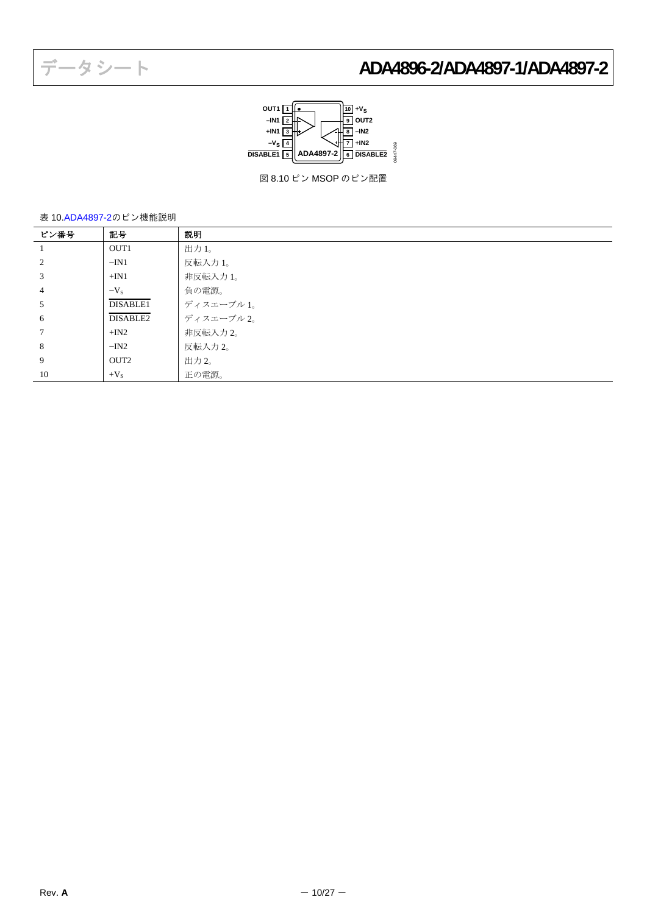

図 8.10 ピン MSOP のピン配置

表 10[.ADA4897-2](http://www.analog.com/jp/ADA4897-2)のピン機能説明

| ピン番号 | 記号               | 説明         |
|------|------------------|------------|
|      | OUT1             | 出力 1。      |
| 2    | $-IN1$           | 反転入力 1。    |
| 3    | $+IN1$           | 非反転入力 1。   |
| 4    | $-V_{\rm s}$     | 負の電源。      |
| 5    | DISABLE1         | ディスエーブル 1。 |
| 6    | DISABLE2         | ディスエーブル2。  |
|      | $+IN2$           | 非反転入力 2。   |
| 8    | $-IN2$           | 反転入力 2。    |
| 9    | OUT <sub>2</sub> | 出力 2。      |
| 10   | $+V_{S}$         | 正の電源。      |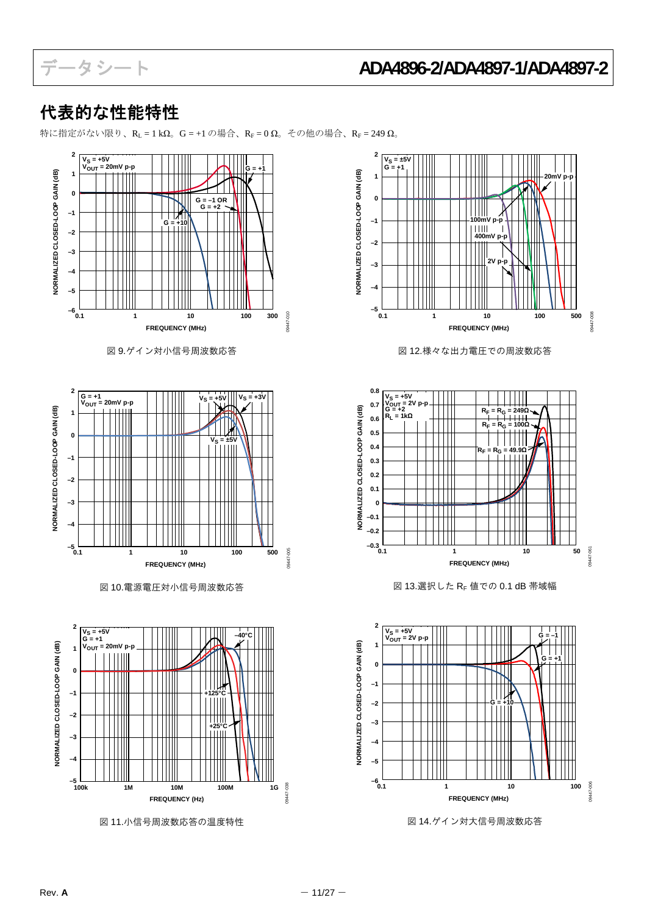**20mV p-p**

T

09447-008

09447-008

09447-061

8447-061

09447-006

19447-006

**G = +1**

## <span id="page-10-0"></span>代表的な性能特性

特に指定がない限り、 $R_L = 1 k\Omega_0$  G = +1 の場合、 $R_F = 0 \Omega_0$  その他の場合、 $R_F = 249 \Omega_0$ 

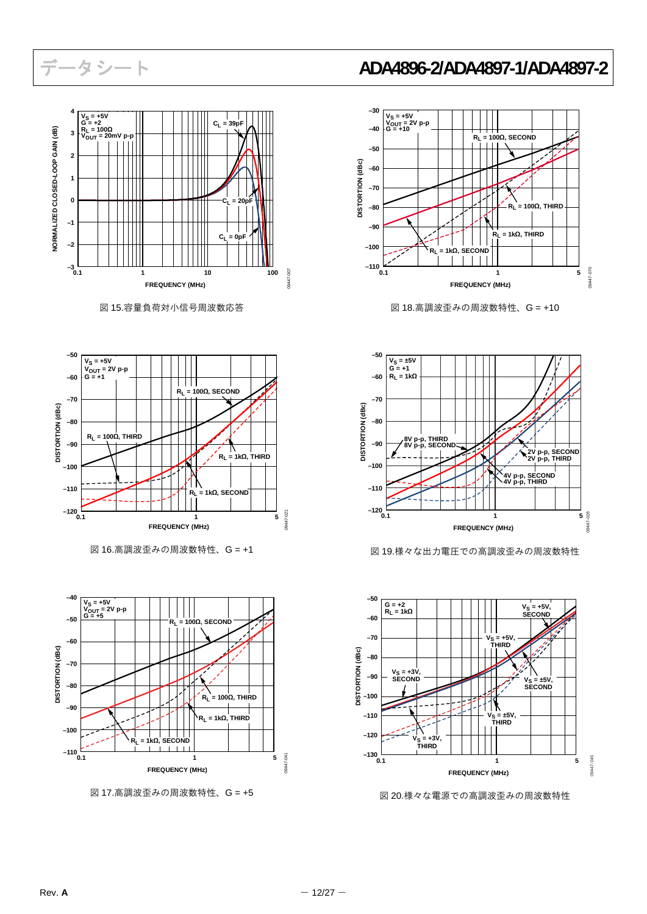

図 15.容量負荷対小信号周波数応答



図 16.高調波歪みの周波数特性、G = +1



図 17.高調波歪みの周波数特性、G = +5



図 18.高調波歪みの周波数特性、G = +10



図19.様々な出力電圧での高調波歪みの周波数特性



図 20.様々な電源での高調波歪みの周波数特性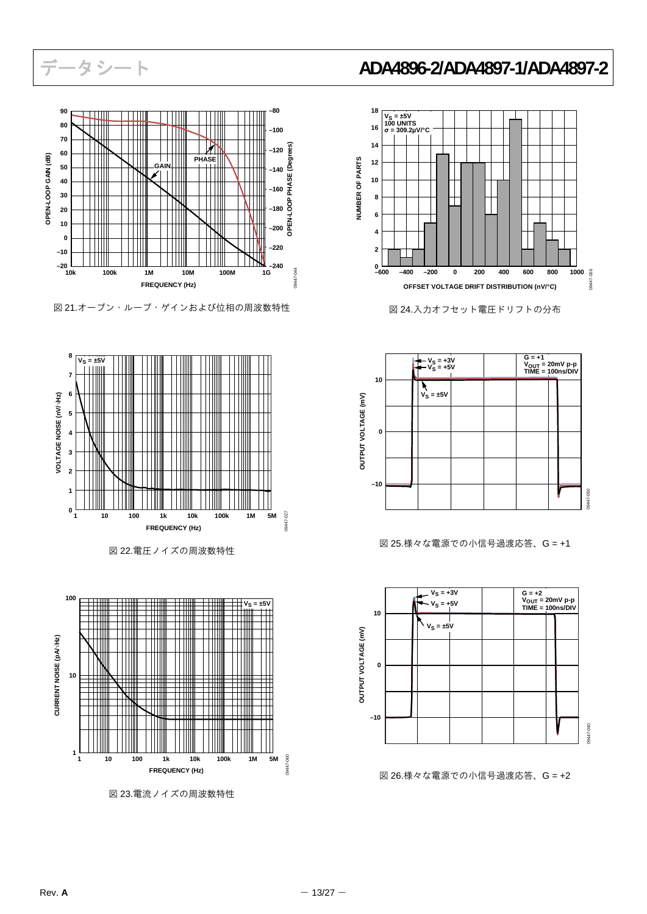

図 21.オープン・ループ・ゲインおよび位相の周波数特性



図 22.電圧ノイズの周波数特性



図 23.電流ノイズの周波数特性



図 24.入力オフセット電圧ドリフトの分布



図 25.様々な電源での小信号過渡応答、G = +1



図 26.様々な電源での小信号過渡応答、G = +2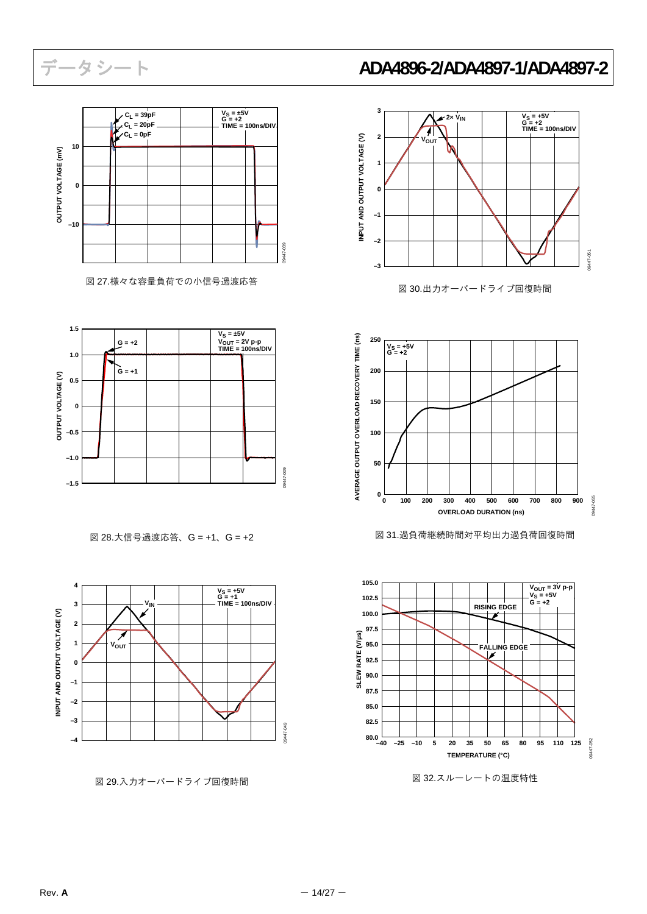

図 27.様々な容量負荷での小信号過渡応答



図 28.大信号過渡応答、G = +1、G = +2



図 29.入力オーバードライブ回復時間

# データシート **ADA4896-2/ADA4897-1/ADA4897-2**



図 30.出力オーバードライブ回復時間



図 31.過負荷継続時間対平均出力過負荷回復時間



図 32.スルーレートの温度特性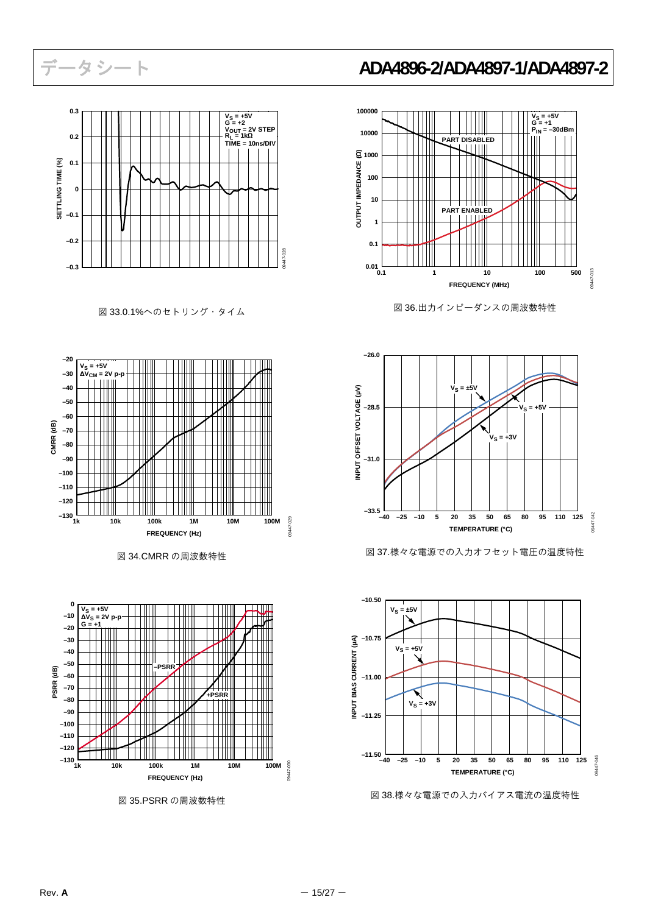

図 33.0.1%へのセトリング・タイム







図 35.PSRR の周波数特性



図 36.出力インピーダンスの周波数特性



図 37.様々な電源での入力オフセット電圧の温度特性



図 38.様々な電源での入力バイアス電流の温度特性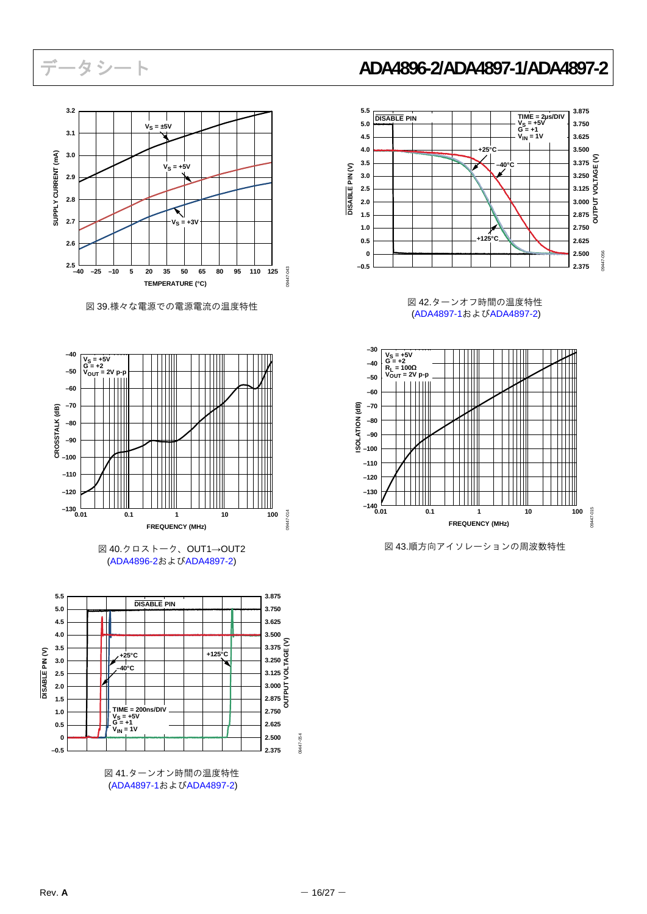

図 39.様々な電源での電源電流の温度特性



[\(ADA4896-2](http://www.analog.com/jp/ADA4896-2)および[ADA4897-2\)](http://www.analog.com/jp/ADA4897-2)



[\(ADA4897-1](http://www.analog.com/jp/ADA4897-1)および[ADA4897-2\)](http://www.analog.com/jp/ADA4897-2)

## データシート **ADA4896-2/ADA4897-1/ADA4897-2**



図 42.ターンオフ時間の温度特性 ([ADA4897-1](http://www.analog.com/jp/ADA4897-1)および[ADA4897-2](http://www.analog.com/jp/ADA4897-2))



図 40.クロストーク、OUT1→OUT2 イントンのおよび 20143.順方向アイソレーションの周波数特性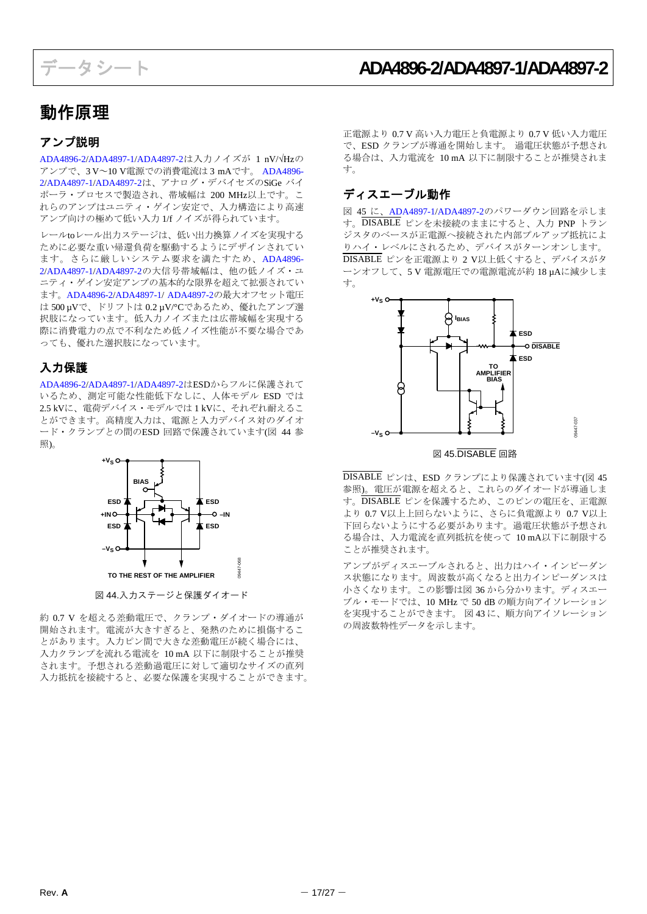## <span id="page-16-0"></span>動作原理

## <span id="page-16-1"></span>アンプ説明

<span id="page-16-3"></span>[ADA4896-2](http://www.analog.com/jp/ADA4896-2)[/ADA4897-1](http://www.analog.com/jp/ADA4897-1)[/ADA4897-2](http://www.analog.com/jp/ADA4897-2)は入力ノイズが 1 nV/√Hzの アンプで、3 V~10 V電源での消費電流は 3 mAです。 [ADA4896-](http://www.analog.com/jp/ADA4896-2) [2/](http://www.analog.com/jp/ADA4896-2)[ADA4897-1/](http://www.analog.com/jp/ADA4897-1)[ADA4897-2](http://www.analog.com/jp/ADA4897-2)は、アナログ・デバイセズのSiGe バイ ポーラ・プロセスで製造され、帯域幅は 200 MHz以上です。こ れらのアンプはユニティ・ゲイン安定で、入力構造により高速 アンプ向けの極めて低い入力 1/f ノイズが得られています。

レールtoレール出力ステージは、低い出力換算ノイズを実現する ために必要な重い帰還負荷を駆動するようにデザインされてい ます。さらに厳しいシステム要求を満たすため、[ADA4896-](http://www.analog.com/jp/ADA4896-2) [2/](http://www.analog.com/jp/ADA4896-2)[ADA4897-1/](http://www.analog.com/jp/ADA4897-1)[ADA4897-2](http://www.analog.com/jp/ADA4897-2)の大信号帯域幅は、他の低ノイズ・ユ ニティ・ゲイン安定アンプの基本的な限界を超えて拡張されてい ます。[ADA4896-2](http://www.analog.com/jp/ADA4896-2)[/ADA4897-1/](http://www.analog.com/jp/ADA4897-1) [ADA4897-2](http://www.analog.com/jp/ADA4897-2)の最大オフセット電圧 は 500 µVで、ドリフトは 0.2 µV/°Cであるため、優れたアンプ選 択肢になっています。低入力ノイズまたは広帯域幅を実現する 際に消費電力の点で不利なため低ノイズ性能が不要な場合であ っても、優れた選択肢になっています。

## <span id="page-16-2"></span>入力保護

[ADA4896-2](http://www.analog.com/jp/ADA4896-2)[/ADA4897-1](http://www.analog.com/jp/ADA4897-1)[/ADA4897-2](http://www.analog.com/jp/ADA4897-2)はESDからフルに保護されて いるため、測定可能な性能低下なしに、人体モデル ESD では 2.5 kVに、電荷デバイス・モデルでは 1 kVに、それぞれ耐えるこ とができます。高精度入力は、電源と入力デバイス対のダイオ ード・クランプとの間のESD 回路で保護されています(図 44 参 照)。



図 44.入力ステージと保護ダイオード

約 0.7 V を超える差動電圧で、クランプ・ダイオードの導通が 開始されます。電流が大きすぎると、発熱のために損傷するこ とがあります。入力ピン間で大きな差動電圧が続く場合には、 入力クランプを流れる電流を 10 mA 以下に制限することが推奨 されます。予想される差動過電圧に対して適切なサイズの直列 入力抵抗を接続すると、必要な保護を実現することができます。 正電源より 0.7 V 高い入力電圧と負電源より 0.7 V 低い入力電圧 で、ESD クランプが導通を開始します。 過電圧状態が予想され る場合は、入力電流を 10 mA 以下に制限することが推奨されま す。

## ディスエーブル動作

図 45 に、[ADA4897-1/](http://www.analog.com/jp/ADA4897-1)[ADA4897-2](http://www.analog.com/jp/ADA4897-2)のパワーダウン回路を示しま す。DISABLE ピンを未接続のままにすると、入力 PNP トラン ジスタのベースが正電源へ接続された内部プルアップ抵抗によ りハイ・レベルにされるため、デバイスがターンオンします。 DISABLE ピンを正電源より 2 V以上低くすると、デバイスがタ ーンオフして、5 V 電源電圧での電源電流が約 18 µAに減少しま す。



図 45.DISABLE 回路

DISABLE ピンは、ESD クランプにより保護されています(図 45 参照)。電圧が電源を超えると、これらのダイオードが導通しま す。DISABLE ピンを保護するため、このピンの電圧を、正電源 より 0.7 V以上上回らないように、さらに負電源より 0.7 V以上 下回らないようにする必要があります。過電圧状態が予想され る場合は、入力電流を直列抵抗を使って 10 mA以下に制限する ことが推奨されます。

アンプがディスエーブルされると、出力はハイ・インピーダン ス状態になります。周波数が高くなると出力インピーダンスは 小さくなります。この影響は図 36 から分かります。ディスエー ブル・モードでは、10 MHz で 50 dB の順方向アイソレーション を実現することができます。 図 43 に、順方向アイソレーション の周波数特性データを示します。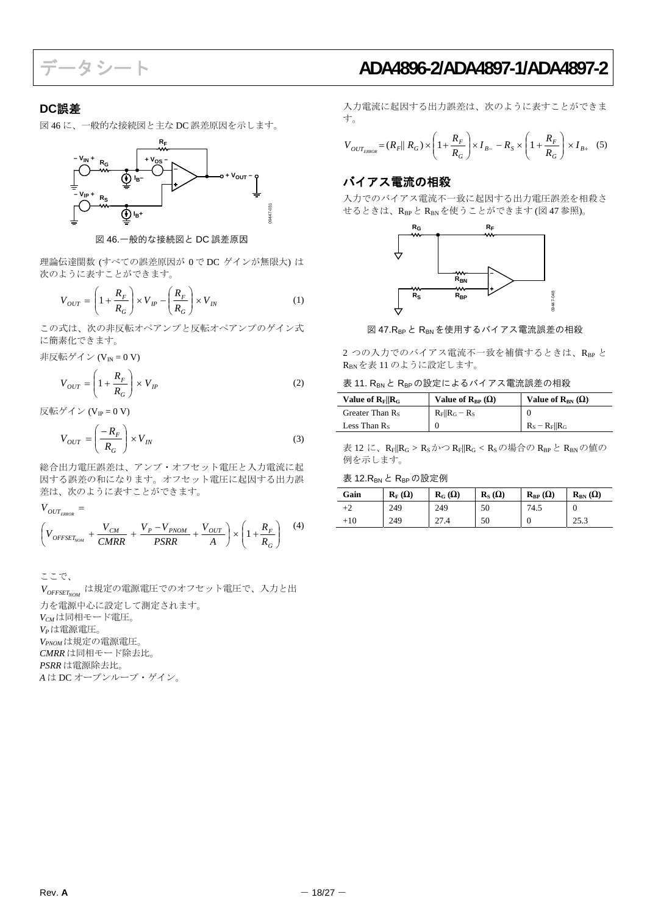### <span id="page-17-0"></span>**DC**誤差

<span id="page-17-1"></span>図 46 に、一般的な接続図と主な DC 誤差原因を示します。



図 46.一般的な接続図と DC 誤差原因

理論伝達関数 (すべての誤差原因が 0 で DC ゲインが無限大) は 次のように表すことができます。

$$
V_{OUT} = \left(1 + \frac{R_F}{R_G}\right) \times V_{IP} - \left(\frac{R_F}{R_G}\right) \times V_{IN}
$$
 (1)

この式は、次の非反転オペアンプと反転オペアンプのゲイン式 に簡素化できます。

非反転ゲイン ( $V_{IN} = 0 V$ )

$$
V_{OUT} = \left(1 + \frac{R_F}{R_G}\right) \times V_{IP}
$$
 (2)

反転ゲイン (V $_{IP}$ =0V)

$$
V_{OUT} = \left(\frac{-R_F}{R_G}\right) \times V_{IN}
$$
\n(3)

総合出力電圧誤差は、アンプ・オフセット電圧と入力電流に起 因する誤差の和になります。オフセット電圧に起因する出力誤 差は、次のように表すことができます。

 $\overline{\phantom{a}}$ J Ì  $\overline{\phantom{a}}$  $\left(V_{OFFSET_{NOM}} + \frac{V_{CM}}{CMRR} + \frac{V_P - V_{PNOM}}{PSRR} + \frac{V_{OUT}}{A}\right) \times \left(1 + \frac{V_{OUT}}{2}\right)$  $\left(V_{OFF} + \frac{V_{CM}}{V_{DM}} + \frac{V_P - V_{PNOM}}{V_{DM}} + \frac{V_{M}}{V_{DM}}\right)$  $V$ <sup>*OUT*</sup><sub>*ERROR*</sub> = *G*  $\frac{C_{M}}{CMRR}$  +  $\frac{V_{P}}{PSRR}$  +  $\frac{V_{P}V_{PNOM}}{PSRR}$  +  $\frac{V_{OUT}}{A}$   $\times$   $\left(1 + \frac{K_{F}}{R_{G}}\right)$ *R A V PSRR*  $V_p - V$ *CMRR*  $V_{OFFSET_{NOM}} + \frac{V_{CM}}{CMPP} + \frac{V_P - V_{PNOM}}{PCPP} + \frac{V_{OUT}}{A} \times 1$ (4)

ここで、  $\emph{V}_{\textit{OFFSET}_{\textit{NOM}}}$  は規定の電源電圧でのオフセット電圧で、入力と出 力を電源中心に設定して測定されます。 *VCM*は同相モード電圧。 *VP*は電源電圧。 *VPNOM*は規定の電源電圧。 *CMRR* は同相モード除去比。 *PSRR* は電源除去比。 *A* は DC オープンループ・ゲイン。

データシート **ADA4896-2/ADA4897-1/ADA4897-2**

入力電流に起因する出力誤差は、次のように表すことができま す。

$$
V_{OUT_{ERROR}} = (R_F || R_G) \times \left(1 + \frac{R_F}{R_G}\right) \times I_{B} - R_S \times \left(1 + \frac{R_F}{R_G}\right) \times I_{B+}
$$
 (5)

## バイアス電流の相殺

入力でのバイアス電流不一致に起因する出力電圧誤差を相殺さ せるときは、RBPと RBN を使うことができます (図 47 参照)。



図 47.RBPと RBN を使用するバイアス電流誤差の相殺

2つの入力でのバイアス電流不一致を補償するときは、RRP と RBNを表 11 のように設定します。

|  |  |  |  |  |  | 表 11. RBN と RBP の設定によるバイアス電流誤差の相殺 |  |
|--|--|--|--|--|--|-----------------------------------|--|
|--|--|--|--|--|--|-----------------------------------|--|

| Value of $R_F R_G$ | Value of $\mathbf{R}_{\text{RP}}(\Omega)$ | Value of $R_{BN}(\Omega)$ |
|--------------------|-------------------------------------------|---------------------------|
| Greater Than $R_s$ | $R_F    R_G - R_S$                        |                           |
| Less Than $R_s$    |                                           | $R_s - R_F    R_G$        |

表 12 に、 $R_F\|R_G > R_S$ かつ $R_F\|R_G < R_S$ の場合の $R_{BP}$ と $R_{BN}$ の値の 例を示します。

#### 表 12.R<sub>BN</sub> と R<sub>BP</sub>の設定例

| Gain  | $\mathbf{R}_{\mathrm{F}}\left(\Omega\right)$ | $\mathbf{R}_{\mathbf{G}}\left(\mathbf{\Omega}\right)$ | $\mathbf{R}_{\rm S}(\Omega)$ | $\mathbf{R}_{\text{BP}}(\Omega)$ | $\mathbf{R}_{\text{BN}}\left(\Omega\right)$ |
|-------|----------------------------------------------|-------------------------------------------------------|------------------------------|----------------------------------|---------------------------------------------|
| +2    | 249                                          | 249                                                   | 50                           | 74.5                             | U                                           |
| $+10$ | 249                                          | 27.4                                                  | 50                           | U                                | 25.3                                        |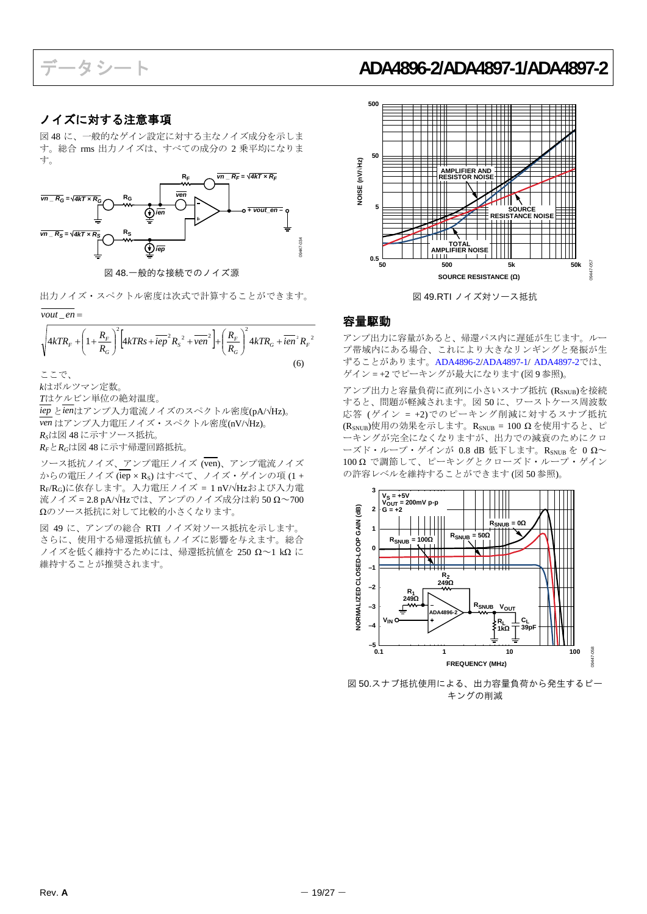## <span id="page-18-0"></span>ノイズに対する注意事項

図 48 に、一般的なゲイン設定に対する主なノイズ成分を示しま す。総合 rms 出力ノイズは、すべての成分の 2 乗平均になりま す。



図 48.一般的な接続でのノイズ源

出力ノイズ・スペクトル密度は次式で計算することができます。 インスペン 図49.RTI ノイズ対ソース抵抗

vout<sub>\_en</sub>=

<span id="page-18-1"></span>
$$
\sqrt{4kTR_{F} + \left(1 + \frac{R_{F}}{R_{G}}\right)^{2} \left[4kTRs + i\overline{ep}^{2}R_{S}^{2} + \overline{ven}^{2}\right] + \left(\frac{R_{F}}{R_{G}}\right)^{2} 4kTR_{G} + i\overline{en}^{2}R_{F}^{2}}
$$
\n(6)

*k*はボルツマン定数。

*T*はケルビン単位の絶対温度。

*iep* と*ien*はアンプ入力電流ノイズのスペクトル密度(pA/√Hz)。 *ven* はアンプ入力電圧ノイズ・スペクトル密度(nV/√Hz)。 *RS*は図 48 に示すソース抵抗。

*RF*と*RG*は図 48 に示す帰還回路抵抗。

ソース抵抗ノイズ、アンプ電圧ノイズ (ven)、アンプ電流ノイズ からの電圧ノイズ (iep × Rs) はすべて、ノイズ・ゲインの項(1+ RF/RG)に依存します。入力電圧ノイズ = 1 nV/√Hzおよび入力電 流ノイズ = 2.8 pA/√Hzでは、アンプのノイズ成分は約 50 Ω~700 Ωのソース抵抗に対して比較的小さくなります。

図 49 に、アンプの総合 RTI ノイズ対ソース抵抗を示します。 さらに、使用する帰還抵抗値もノイズに影響を与えます。総合  $1/4$ ズを低く維持するためには、帰還抵抗値を 250  $\Omega$ ~1 k $\Omega$ に 維持することが推奨されます。

## データシート **ADA4896-2/ADA4897-1/ADA4897-2**



### 容量駆動

アンプ出力に容量があると、帰還パス内に遅延が生じます。ルー プ帯域内にある場合、これにより大きなリンギングと発振が生 ずることがあります。[ADA4896-2](http://www.analog.com/jp/ADA4896-2)[/ADA4897-1/](http://www.analog.com/jp/ADA4897-1) [ADA4897-2](http://www.analog.com/jp/ADA4897-2)では、 ここで、 ゲイン = +2 でピーキングが最大になります (図 9 参照)。

> アンプ出力と容量負荷に直列に小さいスナブ抵抗 (RSNUB)を接続 すると、問題が軽減されます。図 50 に、ワーストケース周波数 応答 (ゲイン = +2)でのピーキング削減に対するスナブ抵抗 (RSNUB)使用の効果を示します。RSNUB = 100 Ω を使用すると、ピ ーキングが完全になくなりますが、出力での減衰のためにクロ ーズド・ループ・ゲインが 0.8 dB 低下します。RSNUB を 0 Ω~ 100 Ω で調節して、ピーキングとクローズド・ループ・ゲイン の許容レベルを維持することができます (図 50 参照)。



図 50.スナブ抵抗使用による、出力容量負荷から発生するピー キングの削減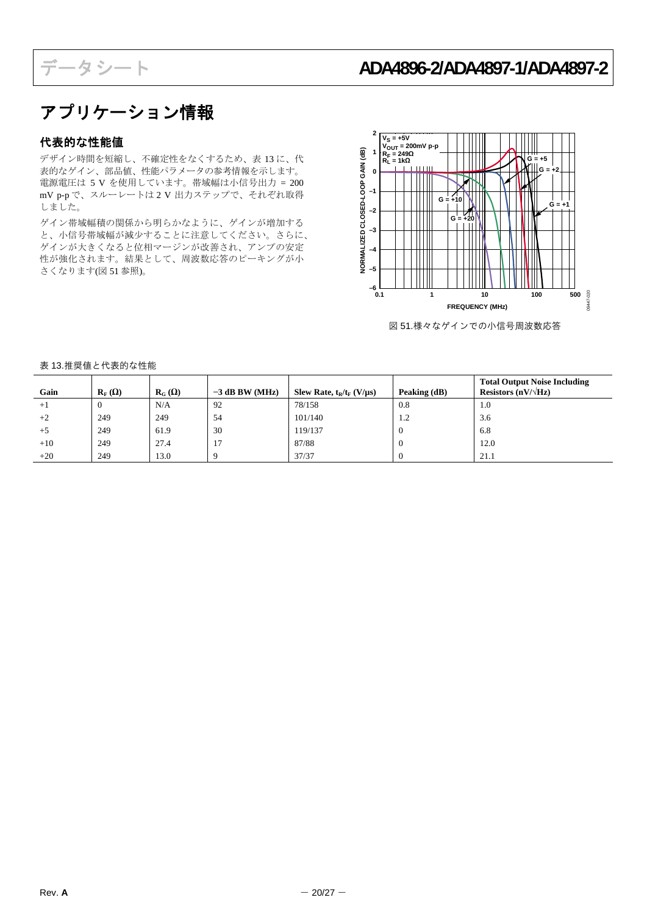## <span id="page-19-0"></span>アプリケーション情報

## <span id="page-19-1"></span>代表的な性能値

デザイン時間を短縮し、不確定性をなくするため、表 13 に、代 表的なゲイン、部品値、性能パラメータの参考情報を示します。 電源電圧は 5 V を使用しています。帯域幅は小信号出力 = 200 mV p-p で、スルーレートは 2 V 出力ステップで、それぞれ取得 しました。

ゲイン帯域幅積の関係から明らかなように、ゲインが増加する と、小信号帯域幅が減少することに注意してください。さらに、 ゲインが大きくなると位相マージンが改善され、アンプの安定 性が強化されます。結果として、周波数応答のピーキングが小 さくなります(図 51 参照)。



図 51.様々なゲインでの小信号周波数応答

#### 表 13.推奨値と代表的な性能

| Gain  | $\mathbf{R}_{\mathrm{F}}\left(\Omega\right)$ | $R_G(\Omega)$ | $-3$ dB BW (MHz) | Slew Rate, $t_R/t_F$ (V/ $\mu$ s) | Peaking (dB) | <b>Total Output Noise Including</b><br>Resistors $(nV/\sqrt{Hz})$ |
|-------|----------------------------------------------|---------------|------------------|-----------------------------------|--------------|-------------------------------------------------------------------|
| $+1$  | $\theta$                                     | N/A           | 92               | 78/158                            | 0.8          | 1.0                                                               |
| $+2$  | 249                                          | 249           | 54               | 101/140                           | 1.2          | 3.6                                                               |
| $+5$  | 249                                          | 61.9          | 30               | 119/137                           | $\theta$     | 6.8                                                               |
| $+10$ | 249                                          | 27.4          | 17               | 87/88                             | <b>U</b>     | 12.0                                                              |
| $+20$ | 249                                          | 13.0          |                  | 37/37                             |              | 21.1                                                              |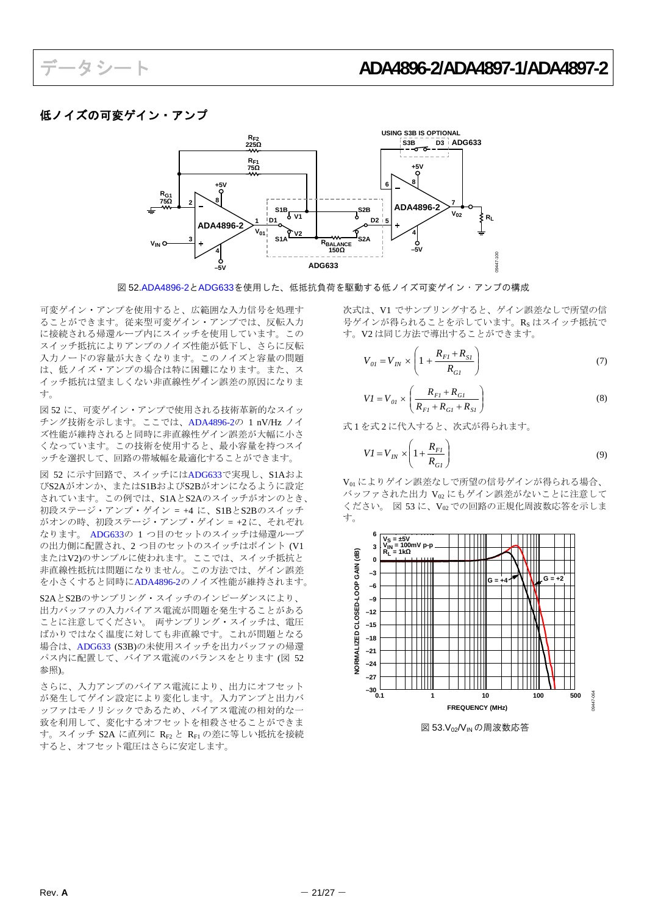## <span id="page-20-0"></span>低ノイズの可変ゲイン・アンプ



図 52[.ADA4896-2](http://www.analog.com/jp/ADA4896-2)と[ADG633](http://www.analog.com/jp/ADG633)を使用した、低抵抗負荷を駆動する低ノイズ可変ゲイン・アンプの構成

可変ゲイン・アンプを使用すると、広範囲な入力信号を処理す ることができます。従来型可変ゲイン・アンプでは、反転入力 に接続される帰還ループ内にスイッチを使用しています。この スイッチ抵抗によりアンプのノイズ性能が低下し、さらに反転 入力ノードの容量が大きくなります。このノイズと容量の問題 は、低ノイズ・アンプの場合は特に困難になります。また、ス イッチ抵抗は望ましくない非直線性ゲイン誤差の原因になりま す。

図 52 に、可変ゲイン・アンプで使用される技術革新的なスイッ チング技術を示します。ここでは、[ADA4896-2](http://www.analog.com/jp/ADA4896-2)の 1 nV/Hz ノイ ズ性能が維持されると同時に非直線性ゲイン誤差が大幅に小さ くなっています。この技術を使用すると、最小容量を持つスイ ッチを選択して、回路の帯域幅を最適化することができます。

図 52 に示す回路で、スイッチには[ADG633](http://www.analog.com/jp/ADG633)で実現し、S1Aおよ びS2Aがオンか、またはS1BおよびS2Bがオンになるように設定 されています。この例では、S1AとS2Aのスイッチがオンのとき、 初段ステージ・アンプ・ゲイン = +4 に、S1BとS2Bのスイッチ がオンの時、初段ステージ・アンプ・ゲイン = +2 に、それぞれ なります。 [ADG633](http://www.analog.com/jp/ADG633)の 1 つ目のセットのスイッチは帰還ループ の出力側に配置され、2 つ目のセットのスイッチはポイント (V1 またはV2)のサンプルに使われます。ここでは、スイッチ抵抗と 非直線性抵抗は問題になりません。この方法では、ゲイン誤差 を小さくすると同時に[ADA4896-2](http://www.analog.com/jp/ADA4896-2)のノイズ性能が維持されます。

S2AとS2Bのサンプリング・スイッチのインピーダンスにより、 出力バッファの入力バイアス電流が問題を発生することがある ことに注意してください。 両サンプリング・スイッチは、電圧 ばかりではなく温度に対しても非直線です。これが問題となる 場合は、[ADG633](http://www.analog.com/jp/ADG633) (S3B)の未使用スイッチを出力バッファの帰還 パス内に配置して、バイアス電流のバランスをとります (図 52 参照)。

さらに、入力アンプのバイアス電流により、出力にオフセット が発生してゲイン設定により変化します。入力アンプと出力バ ッファはモノリシックであるため、バイアス電流の相対的な一 致を利用して、変化するオフセットを相殺させることができま す。スイッチ S2A に直列に RF2 と RF1 の差に等しい抵抗を接続 すると、オフセット電圧はさらに安定します。

次式は、V1 でサンプリングすると、ゲイン誤差なしで所望の信 号ゲインが得られることを示しています。Rs はスイッチ抵抗で す。V2 は同じ方法で導出することができます。

$$
V_{0I} = V_{IN} \times \left(1 + \frac{R_{FI} + R_{SI}}{R_{GI}}\right)
$$
 (7)

$$
VI = V_{0I} \times \left(\frac{R_{FI} + R_{GI}}{R_{FI} + R_{GI} + R_{SI}}\right)
$$
 (8)

式1を式2に代入すると、次式が得られます。

$$
VI = V_{IN} \times \left(1 + \frac{R_{FI}}{R_{GI}}\right) \tag{9}
$$

V<sub>01</sub> によりゲイン誤差なしで所望の信号ゲインが得られる場合、 バッファされた出力 Vo にもゲイン誤差がないことに注意して ください。 図 53 に、Vmでの回路の正規化周波数応答を示しま す。



図 53.V<sub>02</sub>/V<sub>IN</sub>の周波数応答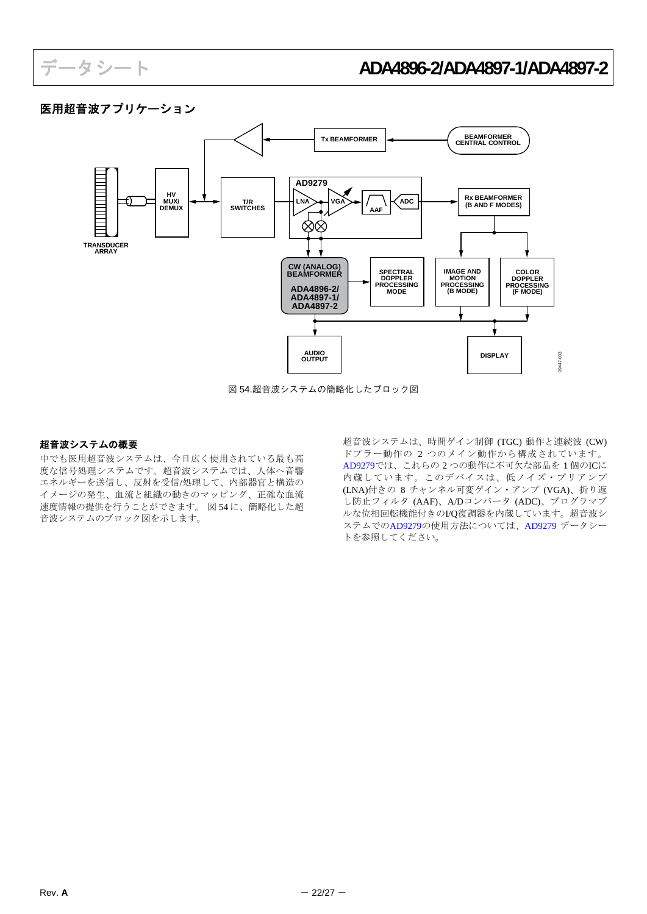## <span id="page-21-0"></span>医用超音波アプリケーション



図 54.超音波システムの簡略化したブロック図

### 超音波システムの概要

中でも医用超音波システムは、今日広く使用されている最も高 度な信号処理システムです。超音波システムでは、人体へ音響 エネルギーを送信し、反射を受信/処理して、内部器官と構造の イメージの発生、血流と組織の動きのマッピング、正確な血流 速度情報の提供を行うことができます。 図 54 に、簡略化した超 音波システムのブロック図を示します。

超音波システムは、時間ゲイン制御 (TGC) 動作と連続波 (CW) ドプラー動作の 2 つのメイン動作から構成されています。 [AD9279](http://www.analog.com/jp/AD9279)では、これらの 2 つの動作に不可欠な部品を 1 個のICに 内蔵しています。このデバイスは、低ノイズ・プリアンプ (LNA)付きの 8 チャンネル可変ゲイン・アンプ (VGA)、折り返 し防止フィルタ (AAF)、A/Dコンバータ (ADC)、プログラマブ ルな位相回転機能付きのI/Q復調器を内蔵しています。超音波シ ステムでの[AD9279](http://www.analog.com/jp/AD9279)の使用方法については、[AD9279](http://www.analog.com/jp/AD9279) データシー トを参照してください。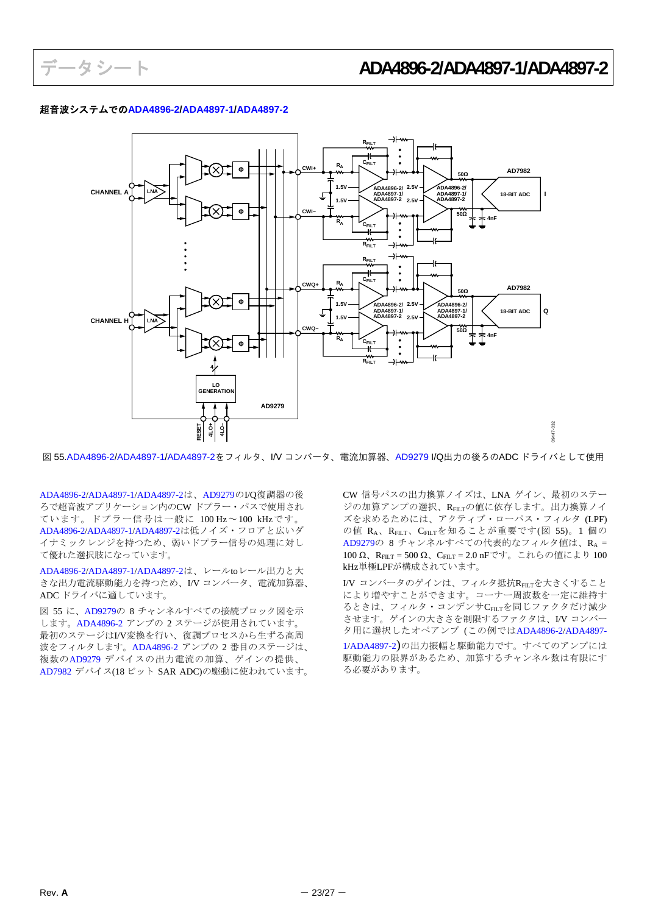#### 超音波システムでの**[ADA4896-2](http://www.analog.com/jp/ADA4896-2)/[ADA4897-1](http://www.analog.com/jp/ADA4897-1)/[ADA4897-2](http://www.analog.com/jp/ADA4897-2)**



図 55.[ADA4896-2](http://www.analog.com/jp/ADA4896-2)/[ADA4897-1/](http://www.analog.com/jp/ADA4897-1)[ADA4897-2](http://www.analog.com/jp/ADA4897-2)をフィルタ、I/V コンバータ、電流加算器、[AD9279](http://www.analog.com/jp/AD9279) I/Q出力の後ろのADC ドライバとして使用

[ADA4896-2](http://www.analog.com/jp/ADA4896-2)[/ADA4897-1](http://www.analog.com/jp/ADA4897-1)[/ADA4897-2](http://www.analog.com/jp/ADA4897-2)は、[AD9279](http://www.analog.com/jp/AD9279)のI/Q復調器の後 ろで超音波アプリケーション内のCW ドプラー・パスで使用され ています。ドプラー信号は一般に 100 Hz~100 kHzです。 [ADA4896-2](http://www.analog.com/jp/ADA4896-2)[/ADA4897-1](http://www.analog.com/jp/ADA4897-1)[/ADA4897-2](http://www.analog.com/jp/ADA4897-2)は低ノイズ・フロアと広いダ イナミックレンジを持つため、弱いドプラー信号の処理に対し て優れた選択肢になっています。

[ADA4896-2](http://www.analog.com/jp/ADA4896-2)[/ADA4897-1](http://www.analog.com/jp/ADA4897-1)[/ADA4897-2](http://www.analog.com/jp/ADA4897-2)は、レールtoレール出力と大 きな出力電流駆動能力を持つため、I/V コンバータ、電流加算器、 ADC ドライバに適しています。

図 55 に、[AD9279](http://www.analog.com/jp/AD9279)の 8 チャンネルすべての接続ブロック図を示 します。[ADA4896-2](http://www.analog.com/jp/ADA4896-2) アンプの 2 ステージが使用されています。 最初のステージはI/V変換を行い、復調プロセスから生ずる高周 波をフィルタします。[ADA4896-2](http://www.analog.com/jp/ADA4896-2) アンプの 2 番目のステージは、 複数の[AD9279](http://www.analog.com/jp/AD9279) デバイスの出力電流の加算、ゲインの提供、 [AD7982](http://www.analog.com/jp/AD7982) デバイス(18 ビット SAR ADC)の駆動に使われています。

CW 信号パスの出力換算ノイズは、LNA ゲイン、最初のステー ジの加算アンプの選択、RFILTの値に依存します。出力換算ノイ ズを求めるためには、アクティブ・ローパス・フィルタ (LPF) の値 RA、RFILT、CFILTを知ることが重要です(図 55)。1 個の [AD9279](http://www.analog.com/jp/AD9279)の 8 チャンネルすべての代表的なフィルタ値は、RA = 100 Ω、RFILT = 500 Ω、CFILT = 2.0 nFです。これらの値により 100 kHz単極LPFが構成されています。

I/V コンバータのゲインは、フィルタ抵抗RFILTを大きくすること により増やすことができます。コーナー周波数を一定に維持す るときは、フィルタ・コンデンサCFILTを同じファクタだけ減少 させます。ゲインの大きさを制限するファクタは、I/V コンバー タ用に選択したオペアンプ (この例では[ADA4896-2](http://www.analog.com/jp/ADA4896-2)[/ADA4897-](http://www.analog.com/jp/ADA4897-1) [1](http://www.analog.com/jp/ADA4897-1)[/ADA4897-2\)](http://www.analog.com/jp/ADA4897-2)の出力振幅と駆動能力です。すべてのアンプには 駆動能力の限界があるため、加算するチャンネル数は有限にす る必要があります。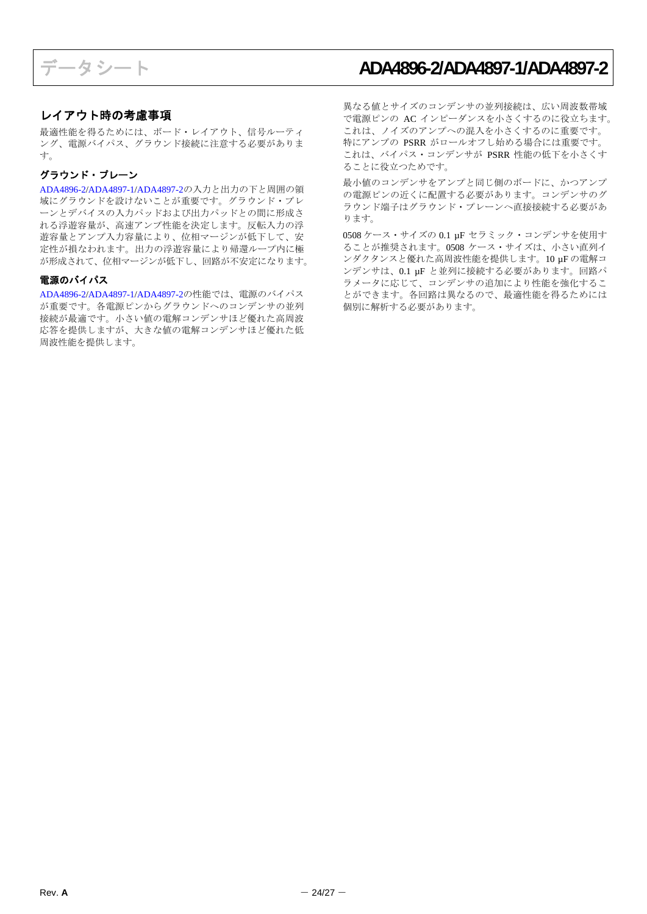### <span id="page-23-0"></span>レイアウト時の考慮事項

最適性能を得るためには、ボード・レイアウト、信号ルーティ ング、電源バイパス、グラウンド接続に注意する必要がありま す。

#### グラウンド・プレーン

[ADA4896-2](http://www.analog.com/jp/ADA4896-2)[/ADA4897-1](http://www.analog.com/jp/ADA4897-1)[/ADA4897-2](http://www.analog.com/jp/ADA4897-2)の入力と出力の下と周囲の領 域にグラウンドを設けないことが重要です。グラウンド・プレ ーンとデバイスの入力パッドおよび出力パッドとの間に形成さ れる浮遊容量が、高速アンプ性能を決定します。反転入力の浮 遊容量とアンプ入力容量により、位相マージンが低下して、安 定性が損なわれます。出力の浮遊容量により帰還ループ内に極 が形成されて、位相マージンが低下し、回路が不安定になります。

#### 電源のバイパス

[ADA4896-2](http://www.analog.com/jp/ADA4896-2)[/ADA4897-1](http://www.analog.com/jp/ADA4897-1)[/ADA4897-2](http://www.analog.com/jp/ADA4897-2)の性能では、電源のバイパス が重要です。各電源ピンからグラウンドへのコンデンサの並列 接続が最適です。小さい値の電解コンデンサほど優れた高周波 応答を提供しますが、大きな値の電解コンデンサほど優れた低 周波性能を提供します。

異なる値とサイズのコンデンサの並列接続は、広い周波数帯域 で電源ピンの AC インピーダンスを小さくするのに役立ちます。 これは、ノイズのアンプへの混入を小さくするのに重要です。 特にアンプの PSRR がロールオフし始める場合には重要です。 これは、バイパス・コンデンサが PSRR 性能の低下を小さくす ることに役立つためです。

最小値のコンデンサをアンプと同じ側のボードに、かつアンプ の電源ピンの近くに配置する必要があります。コンデンサのグ ラウンド端子はグラウンド・プレーンへ直接接続する必要があ ります。

0508 ケース・サイズの 0.1 µF セラミック・コンデンサを使用す ることが推奨されます。0508 ケース・サイズは、小さい直列イ ンダクタンスと優れた高周波性能を提供します。10 µF の電解コ ンデンサは、0.1 µF と並列に接続する必要があります。回路パ ラメータに応じて、コンデンサの追加により性能を強化するこ とができます。各回路は異なるので、最適性能を得るためには 個別に解析する必要があります。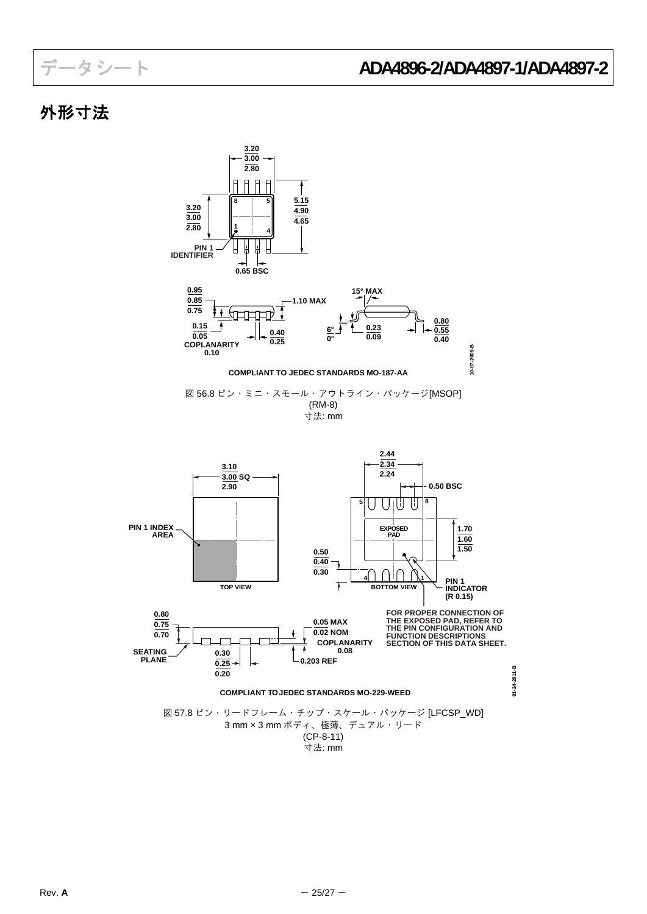## <span id="page-24-0"></span>外形寸法

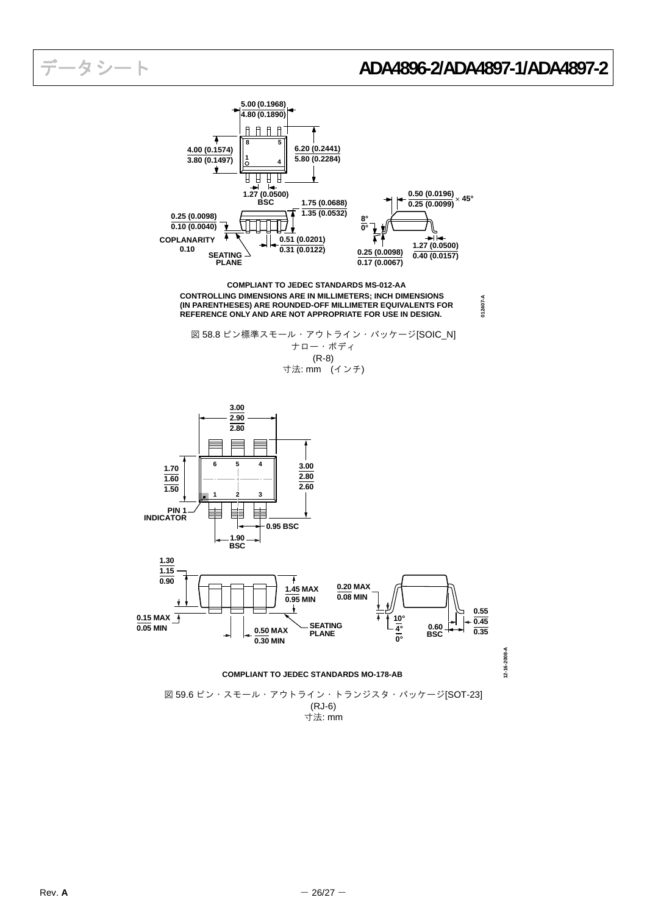**012407-A**



**CONTROLLING DIMENSIONS ARE IN MILLIMETERS; INCH DIMENSIONS (IN PARENTHESES) ARE ROUNDED-OFF MILLIMETER EQUIVALENTS FOR REFERENCE ONLY AND ARE NOT APPROPRIATE FOR USE IN DESIGN. COMPLIANT TO JEDEC STANDARDS MS-012-AA**

図 58.8 ピン標準スモール・アウトライン・パッケージ[SOIC\_N] ナロー・ボディ (R-8) 寸法: mm (インチ)



寸法: mm